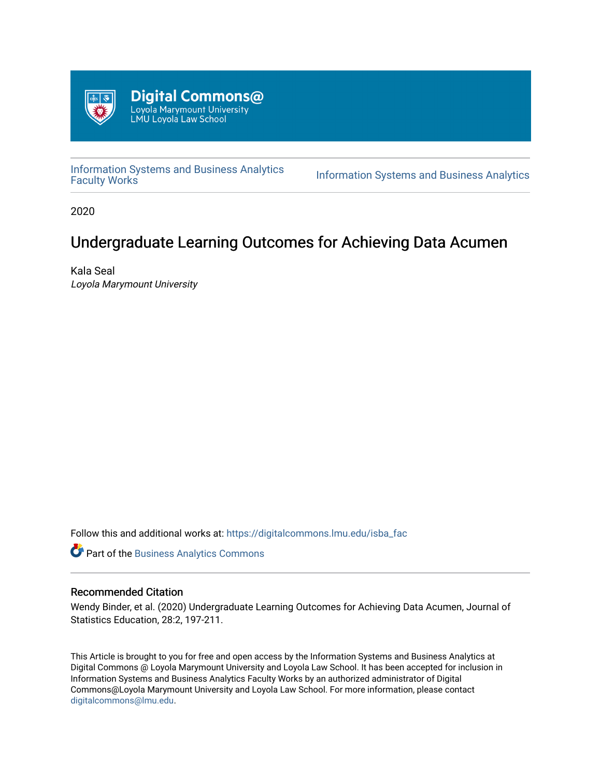

[Information Systems and Business Analytics](https://digitalcommons.lmu.edu/isba_fac)  Information Systems and Business Analytics<br>Faculty Works

2020

# Undergraduate Learning Outcomes for Achieving Data Acumen

Kala Seal Loyola Marymount University

Follow this and additional works at: [https://digitalcommons.lmu.edu/isba\\_fac](https://digitalcommons.lmu.edu/isba_fac?utm_source=digitalcommons.lmu.edu%2Fisba_fac%2F1&utm_medium=PDF&utm_campaign=PDFCoverPages)

Part of the [Business Analytics Commons](http://network.bepress.com/hgg/discipline/1398?utm_source=digitalcommons.lmu.edu%2Fisba_fac%2F1&utm_medium=PDF&utm_campaign=PDFCoverPages)

# Recommended Citation

Wendy Binder, et al. (2020) Undergraduate Learning Outcomes for Achieving Data Acumen, Journal of Statistics Education, 28:2, 197-211.

This Article is brought to you for free and open access by the Information Systems and Business Analytics at Digital Commons @ Loyola Marymount University and Loyola Law School. It has been accepted for inclusion in Information Systems and Business Analytics Faculty Works by an authorized administrator of Digital Commons@Loyola Marymount University and Loyola Law School. For more information, please contact [digitalcommons@lmu.edu](mailto:digitalcommons@lmu.edu).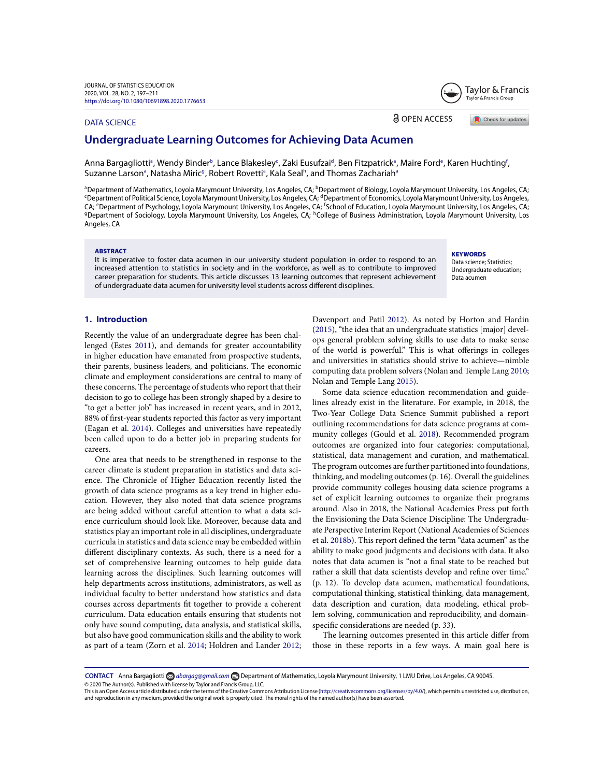### DATA SCIENCE

**a** OPEN ACCESS

Check for updates

Taylor & Francis Taylor & Francis Group

# **Undergraduate Learning Outcomes for Achieving Data Acumen**

Anna Bargagliottiª, Wendy Binder<sup>b</sup>, Lance Blakesleyʿ, Zaki Eusufzaiª, Ben Fitzpatrickª, Maire Fordº, Karen Huchting<sup>f</sup>, Suzanne Larson<sup>a</sup>, Natasha Miric<sup>g</sup>, Robert Rovetti<sup>a</sup>, Kala Seal<sup>h</sup>, and Thomas Zachariah<sup>a</sup>

<sup>a</sup> Department of Mathematics, Loyola Marymount University, Los Angeles, CA; <sup>b</sup> Department of Biology, Loyola Marymount University, Los Angeles, CA; <sup>c</sup>Department of Political Science, Loyola Marymount University, Los Angeles, CA; <sup>d</sup>Department of Economics, Loyola Marymount University, Los Angeles, CA; <sup>e</sup>Department of Psychology, Loyola Marymount University, Los Angeles, CA; <sup>f</sup>School of Education, Loyola Marymount University, Los Angeles, CA; <sup>g</sup>Department of Sociology, Loyola Marymount University, Los Angeles, CA; <sup>h</sup>College of Business Administration, Loyola Marymount University, Los Angeles, CA

#### ABSTRACT

It is imperative to foster data acumen in our university student population in order to respond to an increased attention to statistics in society and in the workforce, as well as to contribute to improved career preparation for students. This article discusses 13 learning outcomes that represent achievement of undergraduate data acumen for university level students across different disciplines.

# **KEYWORDS**

Data science; Statistics; Undergraduate education; Data acumen

### **1. Introduction**

Recently the value of an undergraduate degree has been challenged (Estes 2011), and demands for greater accountability in higher education have emanated from prospective students, their parents, business leaders, and politicians. The economic climate and employment considerations are central to many of these concerns. The percentage of students who report that their decision to go to college has been strongly shaped by a desire to "to get a better job" has increased in recent years, and in 2012, 88% of first-year students reported this factor as very important (Eagan et al. 2014). Colleges and universities have repeatedly been called upon to do a better job in preparing students for careers.

One area that needs to be strengthened in response to the career climate is student preparation in statistics and data science. The Chronicle of Higher Education recently listed the growth of data science programs as a key trend in higher education. However, they also noted that data science programs are being added without careful attention to what a data science curriculum should look like. Moreover, because data and statistics play an important role in all disciplines, undergraduate curricula in statistics and data science may be embedded within different disciplinary contexts. As such, there is a need for a set of comprehensive learning outcomes to help guide data learning across the disciplines. Such learning outcomes will help departments across institutions, administrators, as well as individual faculty to better understand how statistics and data courses across departments fit together to provide a coherent curriculum. Data education entails ensuring that students not only have sound computing, data analysis, and statistical skills, but also have good communication skills and the ability to work as part of a team (Zorn et al. 2014; Holdren and Lander 2012; Davenport and Patil 2012). As noted by Horton and Hardin (2015), "the idea that an undergraduate statistics [major] develops general problem solving skills to use data to make sense of the world is powerful." This is what offerings in colleges and universities in statistics should strive to achieve—nimble computing data problem solvers (Nolan and Temple Lang 2010; Nolan and Temple Lang 2015).

Some data science education recommendation and guidelines already exist in the literature. For example, in 2018, the Two-Year College Data Science Summit published a report outlining recommendations for data science programs at community colleges (Gould et al. 2018). Recommended program outcomes are organized into four categories: computational, statistical, data management and curation, and mathematical. The program outcomes are further partitioned into foundations, thinking, and modeling outcomes (p. 16). Overall the guidelines provide community colleges housing data science programs a set of explicit learning outcomes to organize their programs around. Also in 2018, the National Academies Press put forth the Envisioning the Data Science Discipline: The Undergraduate Perspective Interim Report (National Academies of Sciences et al. 2018b). This report defined the term "data acumen" as the ability to make good judgments and decisions with data. It also notes that data acumen is "not a final state to be reached but rather a skill that data scientists develop and refine over time." (p. 12). To develop data acumen, mathematical foundations, computational thinking, statistical thinking, data management, data description and curation, data modeling, ethical problem solving, communication and reproducibility, and domainspecific considerations are needed (p. 33).

The learning outcomes presented in this article differ from those in these reports in a few ways. A main goal here is

**CONTACT** Anna Bargagliotti *[abargag@gmail.com](mailto:abargag@gmail.com)* Department of Mathematics, Loyola Marymount University, 1 LMU Drive, Los Angeles, CA 90045. © 2020 The Author(s). Published with license by Taylor and Francis Group, LLC.

This is an Open Access article distributed under the terms of the Creative Commons Attribution License [\(http://creativecommons.org/licenses/by/4.0/\)](http://creativecommons.org/licenses/by/4.0/), which permits unrestricted use, distribution, and reproduction in any medium, provided the original work is properly cited. The moral rights of the named author(s) have been asserted.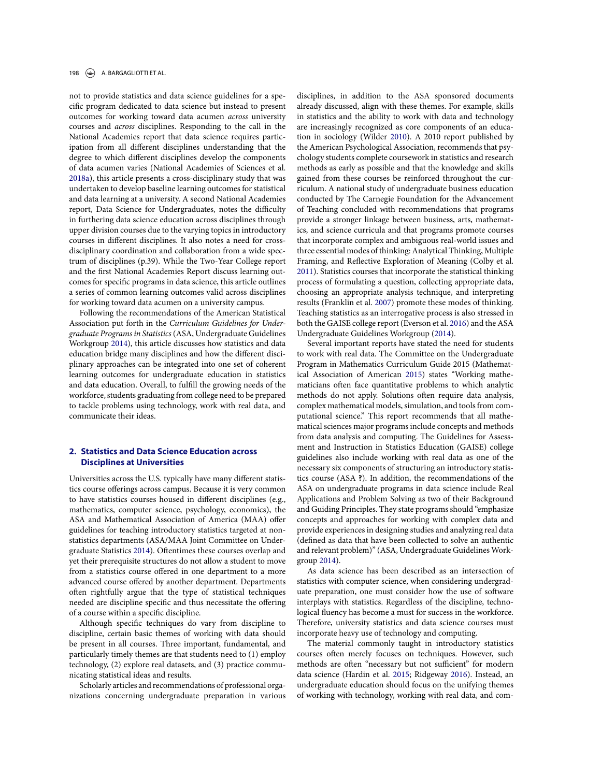#### 198 **A. BARGAGLIOTTI ET AL.**

not to provide statistics and data science guidelines for a specific program dedicated to data science but instead to present outcomes for working toward data acumen *across* university courses and *across* disciplines. Responding to the call in the National Academies report that data science requires participation from all different disciplines understanding that the degree to which different disciplines develop the components of data acumen varies (National Academies of Sciences et al. 2018a), this article presents a cross-disciplinary study that was undertaken to develop baseline learning outcomes for statistical and data learning at a university. A second National Academies report, Data Science for Undergraduates, notes the difficulty in furthering data science education across disciplines through upper division courses due to the varying topics in introductory courses in different disciplines. It also notes a need for crossdisciplinary coordination and collaboration from a wide spectrum of disciplines (p.39). While the Two-Year College report and the first National Academies Report discuss learning outcomes for specific programs in data science, this article outlines a series of common learning outcomes valid across disciplines for working toward data acumen on a university campus.

Following the recommendations of the American Statistical Association put forth in the *Curriculum Guidelines for Undergraduate Programs in Statistics*(ASA, Undergraduate Guidelines Workgroup 2014), this article discusses how statistics and data education bridge many disciplines and how the different disciplinary approaches can be integrated into one set of coherent learning outcomes for undergraduate education in statistics and data education. Overall, to fulfill the growing needs of the workforce, students graduating from college need to be prepared to tackle problems using technology, work with real data, and communicate their ideas.

### **2. Statistics and Data Science Education across Disciplines at Universities**

Universities across the U.S. typically have many different statistics course offerings across campus. Because it is very common to have statistics courses housed in different disciplines (e.g., mathematics, computer science, psychology, economics), the ASA and Mathematical Association of America (MAA) offer guidelines for teaching introductory statistics targeted at nonstatistics departments (ASA/MAA Joint Committee on Undergraduate Statistics 2014). Oftentimes these courses overlap and yet their prerequisite structures do not allow a student to move from a statistics course offered in one department to a more advanced course offered by another department. Departments often rightfully argue that the type of statistical techniques needed are discipline specific and thus necessitate the offering of a course within a specific discipline.

Although specific techniques do vary from discipline to discipline, certain basic themes of working with data should be present in all courses. Three important, fundamental, and particularly timely themes are that students need to (1) employ technology, (2) explore real datasets, and (3) practice communicating statistical ideas and results.

Scholarly articles and recommendations of professional organizations concerning undergraduate preparation in various disciplines, in addition to the ASA sponsored documents already discussed, align with these themes. For example, skills in statistics and the ability to work with data and technology are increasingly recognized as core components of an education in sociology (Wilder 2010). A 2010 report published by the American Psychological Association, recommends that psychology students complete coursework in statistics and research methods as early as possible and that the knowledge and skills gained from these courses be reinforced throughout the curriculum. A national study of undergraduate business education conducted by The Carnegie Foundation for the Advancement of Teaching concluded with recommendations that programs provide a stronger linkage between business, arts, mathematics, and science curricula and that programs promote courses that incorporate complex and ambiguous real-world issues and three essential modes of thinking: Analytical Thinking, Multiple Framing, and Reflective Exploration of Meaning (Colby et al. 2011). Statistics courses that incorporate the statistical thinking process of formulating a question, collecting appropriate data, choosing an appropriate analysis technique, and interpreting results (Franklin et al. 2007) promote these modes of thinking. Teaching statistics as an interrogative process is also stressed in both the GAISE college report (Everson et al. 2016) and the ASA Undergraduate Guidelines Workgroup (2014).

Several important reports have stated the need for students to work with real data. The Committee on the Undergraduate Program in Mathematics Curriculum Guide 2015 (Mathematical Association of American 2015) states "Working mathematicians often face quantitative problems to which analytic methods do not apply. Solutions often require data analysis, complex mathematical models, simulation, and tools from computational science." This report recommends that all mathematical sciences major programs include concepts and methods from data analysis and computing. The Guidelines for Assessment and Instruction in Statistics Education (GAISE) college guidelines also include working with real data as one of the necessary six components of structuring an introductory statistics course (ASA **?**). In addition, the recommendations of the ASA on undergraduate programs in data science include Real Applications and Problem Solving as two of their Background and Guiding Principles. They state programs should "emphasize concepts and approaches for working with complex data and provide experiences in designing studies and analyzing real data (defined as data that have been collected to solve an authentic and relevant problem)" (ASA, Undergraduate Guidelines Workgroup 2014).

As data science has been described as an intersection of statistics with computer science, when considering undergraduate preparation, one must consider how the use of software interplays with statistics. Regardless of the discipline, technological fluency has become a must for success in the workforce. Therefore, university statistics and data science courses must incorporate heavy use of technology and computing.

The material commonly taught in introductory statistics courses often merely focuses on techniques. However, such methods are often "necessary but not sufficient" for modern data science (Hardin et al. 2015; Ridgeway 2016). Instead, an undergraduate education should focus on the unifying themes of working with technology, working with real data, and com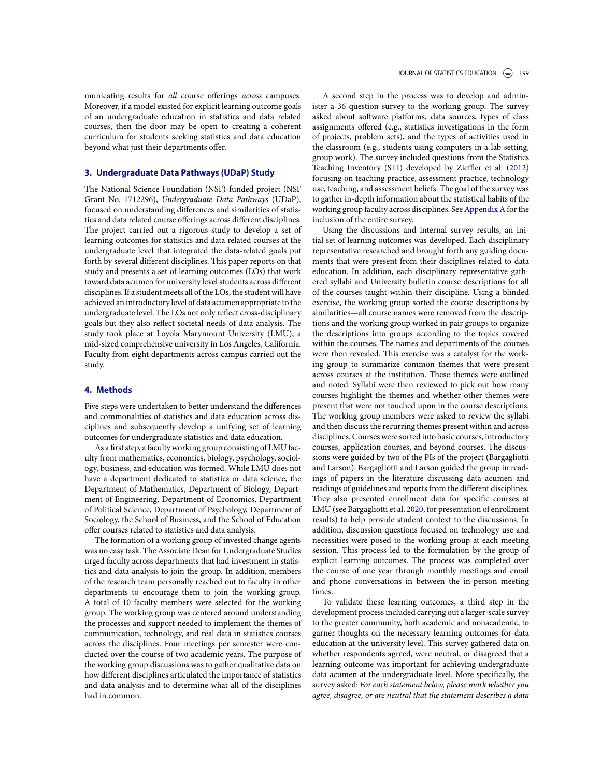municating results for *all* course offerings *across* campuses. Moreover, if a model existed for explicit learning outcome goals of an undergraduate education in statistics and data related courses, then the door may be open to creating a coherent curriculum for students seeking statistics and data education beyond what just their departments offer.

### **3. Undergraduate Data Pathways (UDaP) Study**

The National Science Foundation (NSF)-funded project (NSF Grant No. 1712296), *Undergraduate Data Pathways* (UDaP), focused on understanding differences and similarities of statistics and data related course offerings across different disciplines. The project carried out a rigorous study to develop a set of learning outcomes for statistics and data related courses at the undergraduate level that integrated the data-related goals put forth by several different disciplines. This paper reports on that study and presents a set of learning outcomes (LOs) that work toward data acumen for university level students across different disciplines. If a student meets all of the LOs, the student will have achieved an introductory level of data acumen appropriate to the undergraduate level. The LOs not only reflect cross-disciplinary goals but they also reflect societal needs of data analysis. The study took place at Loyola Marymount University (LMU), a mid-sized comprehensive university in Los Angeles, California. Faculty from eight departments across campus carried out the study.

### **4. Methods**

Five steps were undertaken to better understand the differences and commonalities of statistics and data education across disciplines and subsequently develop a unifying set of learning outcomes for undergraduate statistics and data education.

As a first step, a faculty working group consisting of LMU faculty from mathematics, economics, biology, psychology, sociology, business, and education was formed. While LMU does not have a department dedicated to statistics or data science, the Department of Mathematics, Department of Biology, Department of Engineering, Department of Economics, Department of Political Science, Department of Psychology, Department of Sociology, the School of Business, and the School of Education offer courses related to statistics and data analysis.

The formation of a working group of invested change agents was no easy task. The Associate Dean for Undergraduate Studies urged faculty across departments that had investment in statistics and data analysis to join the group. In addition, members of the research team personally reached out to faculty in other departments to encourage them to join the working group. A total of 10 faculty members were selected for the working group. The working group was centered around understanding the processes and support needed to implement the themes of communication, technology, and real data in statistics courses across the disciplines. Four meetings per semester were conducted over the course of two academic years. The purpose of the working group discussions was to gather qualitative data on how different disciplines articulated the importance of statistics and data analysis and to determine what all of the disciplines had in common.

A second step in the process was to develop and administer a 36 question survey to the working group. The survey asked about software platforms, data sources, types of class assignments offered (e.g., statistics investigations in the form of projects, problem sets), and the types of activities used in the classroom (e.g., students using computers in a lab setting, group work). The survey included questions from the Statistics Teaching Inventory (STI) developed by Zieffler et al. (2012) focusing on teaching practice, assessment practice, technology use, teaching, and assessment beliefs. The goal of the survey was to gather in-depth information about the statistical habits of the working group faculty across disciplines. See Appendix A for the inclusion of the entire survey.

Using the discussions and internal survey results, an initial set of learning outcomes was developed. Each disciplinary representative researched and brought forth any guiding documents that were present from their disciplines related to data education. In addition, each disciplinary representative gathered syllabi and University bulletin course descriptions for all of the courses taught within their discipline. Using a blinded exercise, the working group sorted the course descriptions by similarities—all course names were removed from the descriptions and the working group worked in pair groups to organize the descriptions into groups according to the topics covered within the courses. The names and departments of the courses were then revealed. This exercise was a catalyst for the working group to summarize common themes that were present across courses at the institution. These themes were outlined and noted. Syllabi were then reviewed to pick out how many courses highlight the themes and whether other themes were present that were not touched upon in the course descriptions. The working group members were asked to review the syllabi and then discuss the recurring themes present within and across disciplines. Courses were sorted into basic courses, introductory courses, application courses, and beyond courses. The discussions were guided by two of the PIs of the project (Bargagliotti and Larson). Bargagliotti and Larson guided the group in readings of papers in the literature discussing data acumen and readings of guidelines and reports from the different disciplines. They also presented enrollment data for specific courses at LMU (see Bargagliotti et al. 2020, for presentation of enrollment results) to help provide student context to the discussions. In addition, discussion questions focused on technology use and necessities were posed to the working group at each meeting session. This process led to the formulation by the group of explicit learning outcomes. The process was completed over the course of one year through monthly meetings and email and phone conversations in between the in-person meeting times.

To validate these learning outcomes, a third step in the development process included carrying out a larger-scale survey to the greater community, both academic and nonacademic, to garner thoughts on the necessary learning outcomes for data education at the university level. This survey gathered data on whether respondents agreed, were neutral, or disagreed that a learning outcome was important for achieving undergraduate data acumen at the undergraduate level. More specifically, the survey asked: *For each statement below, please mark whether you agree, disagree, or are neutral that the statement describes a data*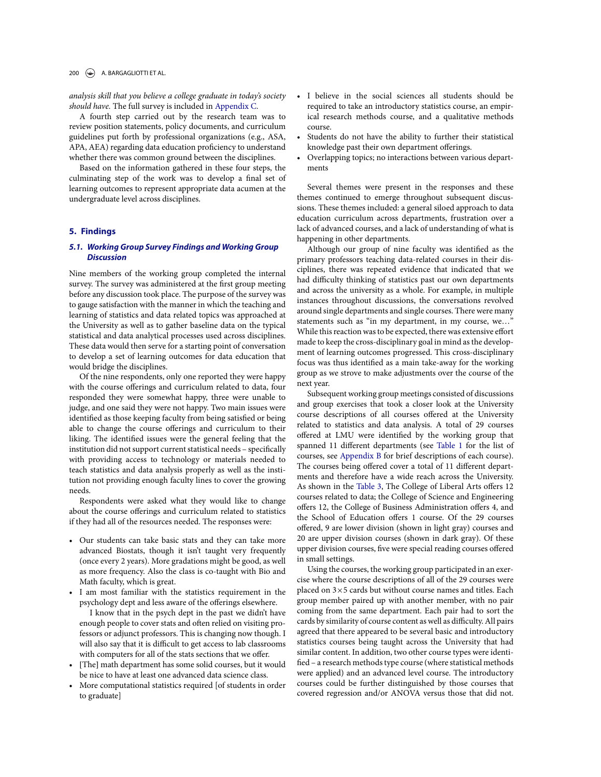#### 200 A. BARGAGLIOTTI ET AL.

*analysis skill that you believe a college graduate in today's society should have.* The full survey is included in Appendix C.

A fourth step carried out by the research team was to review position statements, policy documents, and curriculum guidelines put forth by professional organizations (e.g., ASA, APA, AEA) regarding data education proficiency to understand whether there was common ground between the disciplines.

Based on the information gathered in these four steps, the culminating step of the work was to develop a final set of learning outcomes to represent appropriate data acumen at the undergraduate level across disciplines.

### **5. Findings**

### *5.1. Working Group Survey Findings and Working Group Discussion*

Nine members of the working group completed the internal survey. The survey was administered at the first group meeting before any discussion took place. The purpose of the survey was to gauge satisfaction with the manner in which the teaching and learning of statistics and data related topics was approached at the University as well as to gather baseline data on the typical statistical and data analytical processes used across disciplines. These data would then serve for a starting point of conversation to develop a set of learning outcomes for data education that would bridge the disciplines.

Of the nine respondents, only one reported they were happy with the course offerings and curriculum related to data, four responded they were somewhat happy, three were unable to judge, and one said they were not happy. Two main issues were identified as those keeping faculty from being satisfied or being able to change the course offerings and curriculum to their liking. The identified issues were the general feeling that the institution did not support current statistical needs - specifically with providing access to technology or materials needed to teach statistics and data analysis properly as well as the institution not providing enough faculty lines to cover the growing needs.

Respondents were asked what they would like to change about the course offerings and curriculum related to statistics if they had all of the resources needed. The responses were:

- Our students can take basic stats and they can take more advanced Biostats, though it isn't taught very frequently (once every 2 years). More gradations might be good, as well as more frequency. Also the class is co-taught with Bio and Math faculty, which is great.
- I am most familiar with the statistics requirement in the psychology dept and less aware of the offerings elsewhere. I know that in the psych dept in the past we didn't have enough people to cover stats and often relied on visiting professors or adjunct professors. This is changing now though. I will also say that it is difficult to get access to lab classrooms with computers for all of the stats sections that we offer.
- [The] math department has some solid courses, but it would be nice to have at least one advanced data science class.
- More computational statistics required [of students in order to graduate]
- I believe in the social sciences all students should be required to take an introductory statistics course, an empirical research methods course, and a qualitative methods course.
- Students do not have the ability to further their statistical knowledge past their own department offerings.
- Overlapping topics; no interactions between various departments

Several themes were present in the responses and these themes continued to emerge throughout subsequent discussions. These themes included: a general siloed approach to data education curriculum across departments, frustration over a lack of advanced courses, and a lack of understanding of what is happening in other departments.

Although our group of nine faculty was identified as the primary professors teaching data-related courses in their disciplines, there was repeated evidence that indicated that we had difficulty thinking of statistics past our own departments and across the university as a whole. For example, in multiple instances throughout discussions, the conversations revolved around single departments and single courses. There were many statements such as "in my department, in my course, we..." While this reaction was to be expected, there was extensive effort made to keep the cross-disciplinary goal in mind as the development of learning outcomes progressed. This cross-disciplinary focus was thus identified as a main take-away for the working group as we strove to make adjustments over the course of the next year.

Subsequent working group meetings consisted of discussions and group exercises that took a closer look at the University course descriptions of all courses offered at the University related to statistics and data analysis. A total of 29 courses offered at LMU were identified by the working group that spanned 11 different departments (see Table 1 for the list of courses, see Appendix B for brief descriptions of each course). The courses being offered cover a total of 11 different departments and therefore have a wide reach across the University. As shown in the Table 3, The College of Liberal Arts offers 12 courses related to data; the College of Science and Engineering offers 12, the College of Business Administration offers 4, and the School of Education offers 1 course. Of the 29 courses offered, 9 are lower division (shown in light gray) courses and 20 are upper division courses (shown in dark gray). Of these upper division courses, five were special reading courses offered in small settings.

Using the courses, the working group participated in an exercise where the course descriptions of all of the 29 courses were placed on  $3\times 5$  cards but without course names and titles. Each group member paired up with another member, with no pair coming from the same department. Each pair had to sort the cards by similarity of course content as well as difficulty. All pairs agreed that there appeared to be several basic and introductory statistics courses being taught across the University that had similar content. In addition, two other course types were identi fied – a research methods type course (where statistical methods were applied) and an advanced level course. The introductory courses could be further distinguished by those courses that covered regression and/or ANOVA versus those that did not.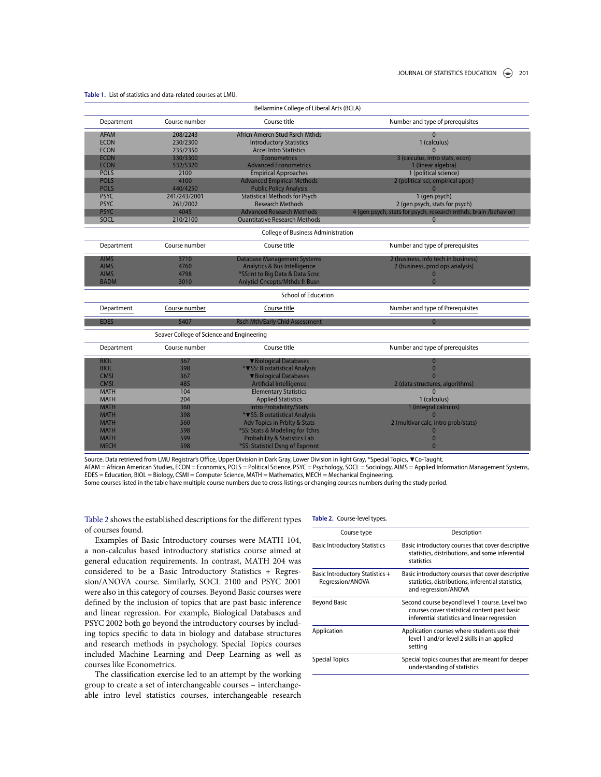| Bellarmine College of Liberal Arts (BCLA) |                                           |                                           |                                                                 |  |  |  |
|-------------------------------------------|-------------------------------------------|-------------------------------------------|-----------------------------------------------------------------|--|--|--|
| Department                                | Course number                             | Course title                              | Number and type of prerequisites                                |  |  |  |
| <b>AFAM</b>                               | 208/2243                                  | Africn Amercn Stud Rsrch Mthds            | $\Omega$                                                        |  |  |  |
| <b>ECON</b>                               | 230/2300                                  | <b>Introductory Statistics</b>            | 1 (calculus)                                                    |  |  |  |
| <b>ECON</b>                               | 235/2350                                  | <b>Accel Intro Statistics</b>             | $\Omega$                                                        |  |  |  |
| <b>ECON</b>                               | 330/3300                                  | <b>Econometrics</b>                       | 3 (calculus, intro stats, econ)                                 |  |  |  |
| <b>ECON</b>                               | 532/5320                                  | <b>Advanced Econometrics</b>              | 1 (linear algebra)                                              |  |  |  |
| <b>POLS</b>                               | 2100                                      | <b>Empirical Approaches</b>               | 1 (political science)                                           |  |  |  |
| <b>POLS</b>                               | 4100                                      | <b>Advanced Empirical Methods</b>         | 2 (political sci, empirical appr.)                              |  |  |  |
| <b>POLS</b>                               | 440/4250                                  | <b>Public Policy Analysis</b>             | n                                                               |  |  |  |
| <b>PSYC</b>                               | 241/243/2001                              | <b>Statistical Methods for Psych</b>      | 1 (gen psych)                                                   |  |  |  |
| <b>PSYC</b>                               | 261/2002                                  | <b>Research Methods</b>                   | 2 (gen psych, stats for psych)                                  |  |  |  |
| <b>PSYC</b>                               | 4045                                      | <b>Advanced Research Methods</b>          | 4 (gen psych, stats for psych, research mthds, brain /behavior) |  |  |  |
| SOCL                                      | 210/2100                                  | <b>Quantitative Research Methods</b>      | $\Omega$                                                        |  |  |  |
|                                           |                                           | <b>College of Business Administration</b> |                                                                 |  |  |  |
| Department                                | Course number                             | Course title                              | Number and type of prerequisites                                |  |  |  |
| <b>AIMS</b>                               | 3710                                      | <b>Database Management Systems</b>        | 2 (business, info tech in business)                             |  |  |  |
| <b>AIMS</b>                               | 4760                                      | <b>Analytics &amp; Bus Intelligence</b>   | 2 (business, prod ops analysis)                                 |  |  |  |
| <b>AIMS</b>                               | 4798                                      | *SS:Int to Big Data & Data Scnc           |                                                                 |  |  |  |
| <b>BADM</b>                               | 3010                                      | <b>Anlyticl Cncepts/Mthds fr Busn</b>     | $\mathbf{0}$                                                    |  |  |  |
|                                           |                                           | <b>School of Education</b>                |                                                                 |  |  |  |
| Department                                | Course number                             | Course title                              | Number and type of Prerequisites                                |  |  |  |
| <b>EDES</b>                               | 5407                                      | <b>Rsch Mth/Early Chld Assessment</b>     | $\mathbf{0}$                                                    |  |  |  |
|                                           | Seaver College of Science and Engineering |                                           |                                                                 |  |  |  |
| Department                                | Course number                             | Course title                              | Number and type of prerequisites                                |  |  |  |
| <b>BIOL</b>                               | 367                                       | <b>V</b> Biological Databases             | $\mathbf{0}$                                                    |  |  |  |
| <b>BIOL</b>                               | 398                                       | * <b>V</b> SS: Biostatistical Analysis    | $\mathbf{0}$                                                    |  |  |  |
| <b>CMSI</b>                               | 367                                       | <b>V</b> Biological Databases             | $\Omega$                                                        |  |  |  |
| <b>CMSI</b>                               | 485                                       | <b>Artificial Intelligence</b>            | 2 (data structures, algorithms)                                 |  |  |  |
| <b>MATH</b>                               | 104                                       | <b>Elementary Statistics</b>              | $\Omega$                                                        |  |  |  |
| <b>MATH</b>                               | 204                                       | <b>Applied Statistics</b>                 | 1 (calculus)                                                    |  |  |  |
| <b>MATH</b>                               | 360                                       | <b>Intro Probability/Stats</b>            | 1 (integral calculus)                                           |  |  |  |
| <b>MATH</b>                               | 398                                       | * VSS: Biostatistical Analysis            |                                                                 |  |  |  |
| <b>MATH</b>                               | 560                                       | <b>Adv Topics in Prblty &amp; Stats</b>   | 2 (multivar calc, intro prob/stats)                             |  |  |  |
| <b>MATH</b>                               | 598                                       | *SS: Stats & Modeling for Tchrs           |                                                                 |  |  |  |
| <b>MATH</b>                               | 599                                       | <b>Probability &amp; Statistics Lab</b>   | $\Omega$                                                        |  |  |  |
| <b>MECH</b>                               | 598                                       | *SS: Statisticl Dsng of Exprmnt           | $\Omega$                                                        |  |  |  |

**Table 1.** List of statistics and data-related courses at LMU.

Source. Data retrieved from LMU Registrar's Office, Upper Division in Dark Gray, Lower Division in light Gray, \*Special Topics,  $\blacktriangledown$ Co-Taught. AFAM = African American Studies, ECON = Economics, POLS = Political Science, PSYC = Psychology, SOCL = Sociology, AIMS = Applied Information Management Systems,<br>EDES = Education, BIOL = Biology, CSMI = Computer Science, MA Some courses listed in the table have multiple course numbers due to cross-listings or changing courses numbers during the study period.

**Table 2.** Course-level types.

Table 2 shows the established descriptions for the different types of courses found.

Examples of Basic Introductory courses were MATH 104, a non-calculus based introductory statistics course aimed at general education requirements. In contrast, MATH 204 was considered to be a Basic Introductory Statistics + Regression/ANOVA course. Similarly, SOCL 2100 and PSYC 2001 were also in this category of courses. Beyond Basic courses were defined by the inclusion of topics that are past basic inference and linear regression. For example, Biological Databases and PSYC 2002 both go beyond the introductory courses by including topics specific to data in biology and database structures and research methods in psychology. Special Topics courses included Machine Learning and Deep Learning as well as courses like Econometrics.

The classification exercise led to an attempt by the working group to create a set of interchangeable courses – interchangeable intro level statistics courses, interchangeable research

| Course type                                         | Description                                                                                                                                    |
|-----------------------------------------------------|------------------------------------------------------------------------------------------------------------------------------------------------|
| <b>Basic Introductory Statistics</b>                | Basic introductory courses that cover descriptive<br>statistics, distributions, and some inferential<br>statistics                             |
| Basic Introductory Statistics +<br>Regression/ANOVA | Basic introductory courses that cover descriptive<br>statistics, distributions, inferential statistics,<br>and regression/ANOVA                |
| Beyond Basic                                        | Second course beyond level 1 course. Level two<br>courses cover statistical content past basic<br>inferential statistics and linear regression |
| Application                                         | Application courses where students use their<br>level 1 and/or level 2 skills in an applied<br>setting                                         |
| <b>Special Topics</b>                               | Special topics courses that are meant for deeper<br>understanding of statistics                                                                |
|                                                     |                                                                                                                                                |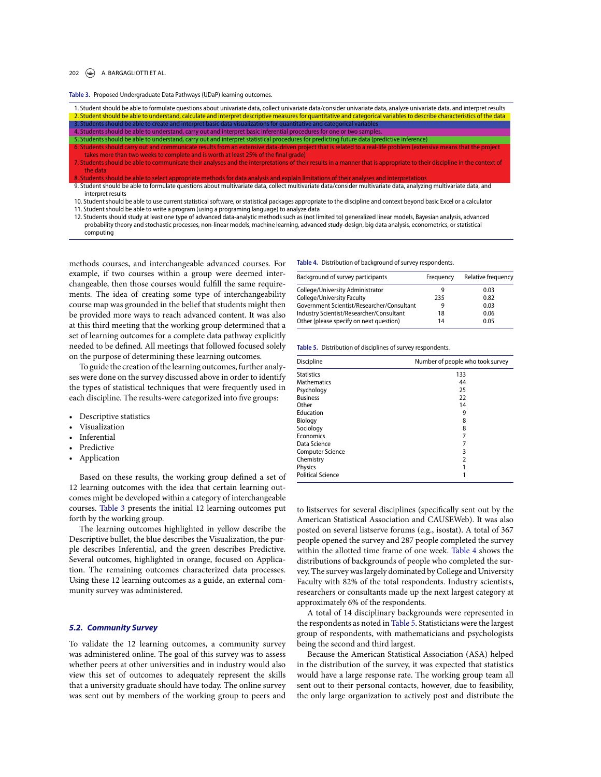#### 202  $\left(\rightarrow\right)$  A. BARGAGLIOTTI ET AL.

**Table 3.** Proposed Undergraduate Data Pathways (UDaP) learning outcomes.

| 1. Student should be able to formulate questions about univariate data, collect univariate data/consider univariate data, analyze univariate data, and interpret results |
|--------------------------------------------------------------------------------------------------------------------------------------------------------------------------|
| 2. Student should be able to understand, calculate and interpret descriptive measures for quantitative and categorical variables to describe characteristics of the data |
| 3. Students should be able to create and interpret basic data visualizations for quantitative and categorical variables                                                  |
| 4. Students should be able to understand, carry out and interpret basic inferential procedures for one or two samples.                                                   |
| 5. Students should be able to understand, carry out and interpret statistical procedures for predicting future data (predictive inference)                               |
| 6. Students should carry out and communicate results from an extensive data-driven project that is related to a real-life problem (extensive means that the project      |
| takes more than two weeks to complete and is worth at least 25% of the final grade)                                                                                      |
| 7. Students should be able to communicate their analyses and the interpretations of their results in a manner that is appropriate to their discipline in the context of  |
| the data                                                                                                                                                                 |
| 8. Students should be able to select appropriate methods for data analysis and explain limitations of their analyses and interpretations                                 |
| 9. Student should be able to formulate questions about multivariate data, collect multivariate data/consider multivariate data, analyzing multivariate data, and         |
| interpret results                                                                                                                                                        |

10. Student should be able to use current statistical software, or statistical packages appropriate to the discipline and context beyond basic Excel or a calculator 11. Student should be able to write a program (using a programing language) to analyze data

12. Students should study at least one type of advanced data-analytic methods such as (not limited to) generalized linear models, Bayesian analysis, advanced probability theory and stochastic processes, non-linear models, machine learning, advanced study-design, big data analysis, econometrics, or statistical computing

methods courses, and interchangeable advanced courses. For example, if two courses within a group were deemed interchangeable, then those courses would fulfill the same requirements. The idea of creating some type of interchangeability course map was grounded in the belief that students might then be provided more ways to reach advanced content. It was also at this third meeting that the working group determined that a set of learning outcomes for a complete data pathway explicitly needed to be defined. All meetings that followed focused solely on the purpose of determining these learning outcomes.

To guide the creation of the learning outcomes, further analyses were done on the survey discussed above in order to identify the types of statistical techniques that were frequently used in each discipline. The results-were categorized into five groups:

- Descriptive statistics
- Visualization
- **Inferential**
- **Predictive**
- Application

Based on these results, the working group defined a set of 12 learning outcomes with the idea that certain learning outcomes might be developed within a category of interchangeable courses. Table 3 presents the initial 12 learning outcomes put forth by the working group.

The learning outcomes highlighted in yellow describe the Descriptive bullet, the blue describes the Visualization, the purple describes Inferential, and the green describes Predictive. Several outcomes, highlighted in orange, focused on Application. The remaining outcomes characterized data processes. Using these 12 learning outcomes as a guide, an external community survey was administered.

#### *5.2. Community Survey*

To validate the 12 learning outcomes, a community survey was administered online. The goal of this survey was to assess whether peers at other universities and in industry would also view this set of outcomes to adequately represent the skills that a university graduate should have today. The online survey was sent out by members of the working group to peers and **Table 4.** Distribution of background of survey respondents.

| Background of survey participants          | Frequency | Relative frequency |
|--------------------------------------------|-----------|--------------------|
| College/University Administrator           | 9         | 0.03               |
| College/University Faculty                 | 235       | 0.82               |
| Government Scientist/Researcher/Consultant | 9         | 0.03               |
| Industry Scientist/Researcher/Consultant   | 18        | 0.06               |
| Other (please specify on next question)    | 14        | 0.05               |

**Table 5.** Distribution of disciplines of survey respondents.

| Discipline               | Number of people who took survey |
|--------------------------|----------------------------------|
| <b>Statistics</b>        | 133                              |
| <b>Mathematics</b>       | 44                               |
| Psychology               | 25                               |
| <b>Business</b>          | 22                               |
| Other                    | 14                               |
| Education                | 9                                |
| Biology                  | 8                                |
| Sociology                | 8                                |
| Economics                | 7                                |
| Data Science             | 7                                |
| <b>Computer Science</b>  | 3                                |
| Chemistry                | $\overline{2}$                   |
| Physics                  |                                  |
| <b>Political Science</b> | 1                                |

to listserves for several disciplines (specifically sent out by the American Statistical Association and CAUSEWeb). It was also posted on several listserve forums (e.g., isostat). A total of 367 people opened the survey and 287 people completed the survey within the allotted time frame of one week. Table 4 shows the distributions of backgrounds of people who completed the survey. The survey was largely dominated by College and University Faculty with 82% of the total respondents. Industry scientists, researchers or consultants made up the next largest category at approximately 6% of the respondents.

A total of 14 disciplinary backgrounds were represented in the respondents as noted in Table 5. Statisticians were the largest group of respondents, with mathematicians and psychologists being the second and third largest.

Because the American Statistical Association (ASA) helped in the distribution of the survey, it was expected that statistics would have a large response rate. The working group team all sent out to their personal contacts, however, due to feasibility, the only large organization to actively post and distribute the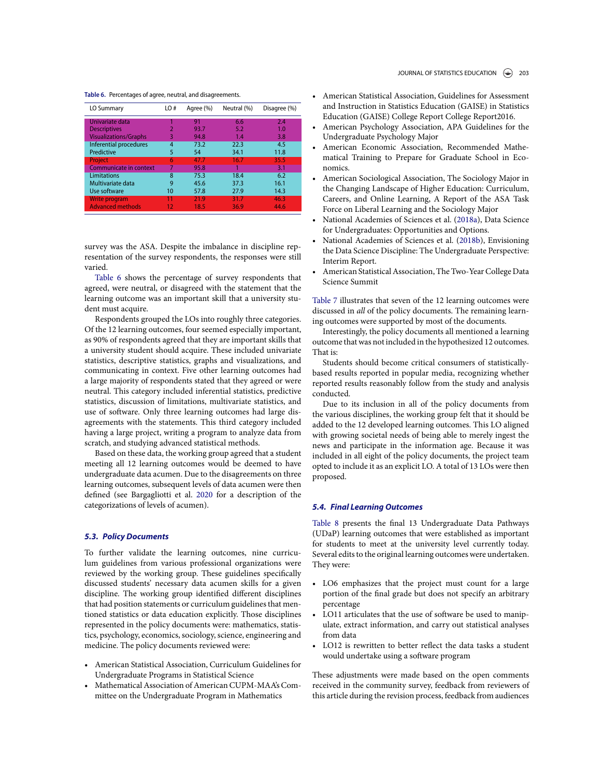#### **Table 6.** Percentages of agree, neutral, and disagreements.

| LO Summary                   | LO# | Agree (%) | Neutral (%) | Disagree (%) |
|------------------------------|-----|-----------|-------------|--------------|
| Univariate data              |     | 91        | 6.6         | 2.4          |
| <b>Descriptives</b>          | 2   | 93.7      | 5.2         | 1.0          |
| <b>Visualizations/Graphs</b> | 3   | 94.8      | 1.4         | 3.8          |
| Inferential procedures       | 4   | 73.2      | 22.3        | 4.5          |
| Predictive                   | 5   | 54        | 34.1        | 11.8         |
| Project                      | 6   | 47.7      | 16.7        | 35.5         |
| Communicate in context       |     | 95.8      |             | 3.1          |
| Limitations                  | 8   | 75.3      | 18.4        | 6.2          |
| Multivariate data            | 9   | 45.6      | 37.3        | 16.1         |
| Use software                 | 10  | 57.8      | 27.9        | 14.3         |
| <b>Write program</b>         |     | 21.9      | 31.7        | 46.3         |
| <b>Advanced methods</b>      | 12  | 18.5      | 36.9        | 44.6         |

survey was the ASA. Despite the imbalance in discipline representation of the survey respondents, the responses were still varied.

Table 6 shows the percentage of survey respondents that agreed, were neutral, or disagreed with the statement that the learning outcome was an important skill that a university student must acquire.

Respondents grouped the LOs into roughly three categories. Of the 12 learning outcomes, four seemed especially important, as 90% of respondents agreed that they are important skills that a university student should acquire. These included univariate statistics, descriptive statistics, graphs and visualizations, and communicating in context. Five other learning outcomes had a large majority of respondents stated that they agreed or were neutral. This category included inferential statistics, predictive statistics, discussion of limitations, multivariate statistics, and use of software. Only three learning outcomes had large disagreements with the statements. This third category included having a large project, writing a program to analyze data from scratch, and studying advanced statistical methods.

Based on these data, the working group agreed that a student meeting all 12 learning outcomes would be deemed to have undergraduate data acumen. Due to the disagreements on three learning outcomes, subsequent levels of data acumen were then defined (see Bargagliotti et al. 2020 for a description of the categorizations of levels of acumen).

### *5.3. Policy Documents*

To further validate the learning outcomes, nine curriculum guidelines from various professional organizations were reviewed by the working group. These guidelines specifically discussed students' necessary data acumen skills for a given discipline. The working group identified different disciplines that had position statements or curriculum guidelines that mentioned statistics or data education explicitly. Those disciplines represented in the policy documents were: mathematics, statistics, psychology, economics, sociology, science, engineering and medicine. The policy documents reviewed were:

- American Statistical Association, Curriculum Guidelines for Undergraduate Programs in Statistical Science
- Mathematical Association of American CUPM-MAA's Committee on the Undergraduate Program in Mathematics
- American Statistical Association, Guidelines for Assessment and Instruction in Statistics Education (GAISE) in Statistics Education (GAISE) College Report College Report2016.
- American Psychology Association, APA Guidelines for the Undergraduate Psychology Major
- American Economic Association, Recommended Mathematical Training to Prepare for Graduate School in Economics.
- American Sociological Association, The Sociology Major in the Changing Landscape of Higher Education: Curriculum, Careers, and Online Learning, A Report of the ASA Task Force on Liberal Learning and the Sociology Major
- National Academies of Sciences et al. (2018a), Data Science for Undergraduates: Opportunities and Options.
- National Academies of Sciences et al. (2018b), Envisioning the Data Science Discipline: The Undergraduate Perspective: Interim Report.
- American Statistical Association, The Two-Year College Data Science Summit

Table 7 illustrates that seven of the 12 learning outcomes were discussed in *all* of the policy documents. The remaining learning outcomes were supported by most of the documents.

Interestingly, the policy documents all mentioned a learning outcome that was not included in the hypothesized 12 outcomes. That is:

Students should become critical consumers of statisticallybased results reported in popular media, recognizing whether reported results reasonably follow from the study and analysis conducted.

Due to its inclusion in all of the policy documents from the various disciplines, the working group felt that it should be added to the 12 developed learning outcomes. This LO aligned with growing societal needs of being able to merely ingest the news and participate in the information age. Because it was included in all eight of the policy documents, the project team opted to include it as an explicit LO. A total of 13 LOs were then proposed.

### *5.4. Final Learning Outcomes*

Table 8 presents the final 13 Undergraduate Data Pathways (UDaP) learning outcomes that were established as important for students to meet at the university level currently today. Several edits to the original learning outcomes were undertaken. They were:

- LO6 emphasizes that the project must count for a large portion of the final grade but does not specify an arbitrary percentage
- LO11 articulates that the use of software be used to manipulate, extract information, and carry out statistical analyses from data
- LO12 is rewritten to better reflect the data tasks a student would undertake using a software program

These adjustments were made based on the open comments received in the community survey, feedback from reviewers of this article during the revision process, feedback from audiences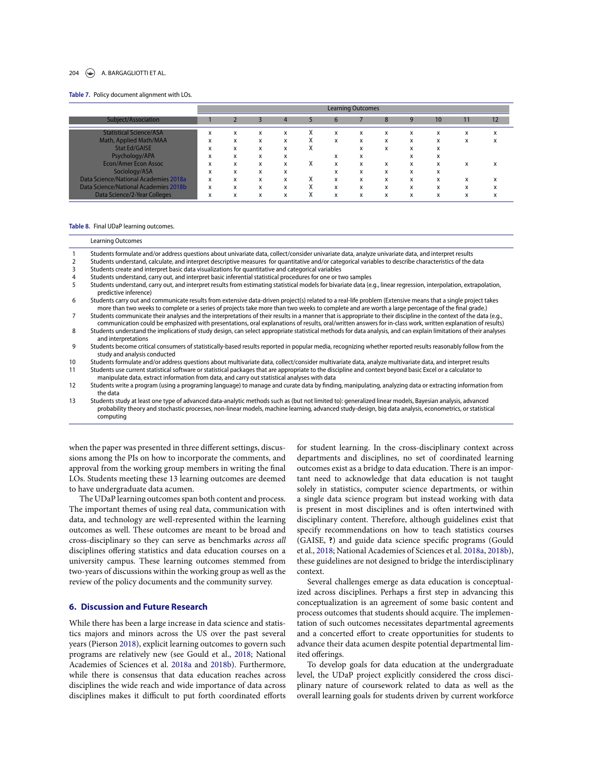#### 204 **A. BARGAGLIOTTI ET AL.**

#### **Table 7.** Policy document alignment with LOs.

|                                       |                        | <b>Learning Outcomes</b> |   |   |           |            |   |   |   |    |                                |    |
|---------------------------------------|------------------------|--------------------------|---|---|-----------|------------|---|---|---|----|--------------------------------|----|
| Subject/Association                   |                        |                          |   | 4 |           | b          |   | 8 | 9 | 10 | 11                             | 12 |
| <b>Statistical Science/ASA</b>        | $\boldsymbol{\lambda}$ | x                        | x | x |           | x          | x | x | x | x  | x                              | x  |
| Math, Applied Math/MAA                | $\boldsymbol{\lambda}$ | x                        | x | x |           | x          | x | x | x | x  | x                              | л. |
| <b>Stat Ed/GAISE</b>                  | л.                     | x                        | x | x | $\lambda$ |            | x | x | x | x  |                                |    |
| Psychology/APA                        | л.                     | x                        | x | x |           | л.         | x |   | v | x  |                                |    |
| <b>Econ/Amer Econ Assoc</b>           |                        | x                        | x | x | x         | x          | x | x | x | x  | x                              | л. |
| Sociology/ASA                         |                        | x                        | x | x |           |            | x | x | x | x  |                                |    |
| Data Science/National Academies 2018a | x                      | x                        | x | x |           | $\check{}$ | x | x | x | x  | л.                             | л. |
| Data Science/National Academies 2018b | x                      | x                        | x | x |           | x          | x | x | x | x  | $\overline{\phantom{a}}$<br>л. |    |
| Data Science/2-Year Colleges          |                        | x                        | x | x |           | x          | X | x | x | X  | $\overline{\phantom{a}}$       |    |

#### **Table 8.** Final UDaP learning outcomes.

|                | <b>Learning Outcomes</b>                                                                                                                                                                                                                                                                                                          |
|----------------|-----------------------------------------------------------------------------------------------------------------------------------------------------------------------------------------------------------------------------------------------------------------------------------------------------------------------------------|
| $\overline{1}$ | Students formulate and/or address questions about univariate data, collect/consider univariate data, analyze univariate data, and interpret results                                                                                                                                                                               |
| 2              | Students understand, calculate, and interpret descriptive measures for quantitative and/or categorical variables to describe characteristics of the data                                                                                                                                                                          |
| 3              | Students create and interpret basic data visualizations for quantitative and categorical variables                                                                                                                                                                                                                                |
| 4              | Students understand, carry out, and interpret basic inferential statistical procedures for one or two samples                                                                                                                                                                                                                     |
| 5              | Students understand, carry out, and interpret results from estimating statistical models for bivariate data (e.g., linear regression, interpolation, extrapolation,<br>predictive inference)                                                                                                                                      |
| 6              | Students carry out and communicate results from extensive data-driven project(s) related to a real-life problem (Extensive means that a single project takes<br>more than two weeks to complete or a series of projects take more than two weeks to complete and are worth a large percentage of the final grade.)                |
| 7              | Students communicate their analyses and the interpretations of their results in a manner that is appropriate to their discipline in the context of the data (e.g.,<br>communication could be emphasized with presentations, oral explanations of results, oral/written answers for in-class work, written explanation of results) |
| 8              | Students understand the implications of study design, can select appropriate statistical methods for data analysis, and can explain limitations of their analyses<br>and interpretations                                                                                                                                          |
| 9              | Students become critical consumers of statistically-based results reported in popular media, recognizing whether reported results reasonably follow from the<br>study and analysis conducted                                                                                                                                      |
| 10             | Students formulate and/or address questions about multivariate data, collect/consider multivariate data, analyze multivariate data, and interpret results                                                                                                                                                                         |
| 11             | Students use current statistical software or statistical packages that are appropriate to the discipline and context beyond basic Excel or a calculator to<br>manipulate data, extract information from data, and carry out statistical analyses with data                                                                        |
| 12             | Students write a program (using a programing language) to manage and curate data by finding, manipulating, analyzing data or extracting information from<br>the data                                                                                                                                                              |
| 13             | Students study at least one type of advanced data-analytic methods such as (but not limited to): generalized linear models, Bayesian analysis, advanced<br>probability theory and stochastic processes, non-linear models, machine learning, advanced study-design, big data analysis, econometrics, or statistical<br>computing  |

when the paper was presented in three different settings, discussions among the PIs on how to incorporate the comments, and approval from the working group members in writing the final LOs. Students meeting these 13 learning outcomes are deemed to have undergraduate data acumen.

The UDaP learning outcomes span both content and process. The important themes of using real data, communication with data, and technology are well-represented within the learning outcomes as well. These outcomes are meant to be broad and cross-disciplinary so they can serve as benchmarks *across all* disciplines offering statistics and data education courses on a university campus. These learning outcomes stemmed from two-years of discussions within the working group as well as the review of the policy documents and the community survey.

### **6. Discussion and Future Research**

While there has been a large increase in data science and statistics majors and minors across the US over the past several years (Pierson 2018), explicit learning outcomes to govern such programs are relatively new (see Gould et al., 2018; National Academies of Sciences et al. 2018a and 2018b). Furthermore, while there is consensus that data education reaches across disciplines the wide reach and wide importance of data across disciplines makes it difficult to put forth coordinated efforts

for student learning. In the cross-disciplinary context across departments and disciplines, no set of coordinated learning outcomes exist as a bridge to data education. There is an important need to acknowledge that data education is not taught solely in statistics, computer science departments, or within a single data science program but instead working with data is present in most disciplines and is often intertwined with disciplinary content. Therefore, although guidelines exist that specify recommendations on how to teach statistics courses (GAISE, ?) and guide data science specific programs (Gould et al., 2018; National Academies of Sciences et al. 2018a, 2018b), these guidelines are not designed to bridge the interdisciplinary context.

Several challenges emerge as data education is conceptualized across disciplines. Perhaps a first step in advancing this conceptualization is an agreement of some basic content and process outcomes that students should acquire. The implementation of such outcomes necessitates departmental agreements and a concerted effort to create opportunities for students to advance their data acumen despite potential departmental limited offerings.

To develop goals for data education at the undergraduate level, the UDaP project explicitly considered the cross disciplinary nature of coursework related to data as well as the overall learning goals for students driven by current workforce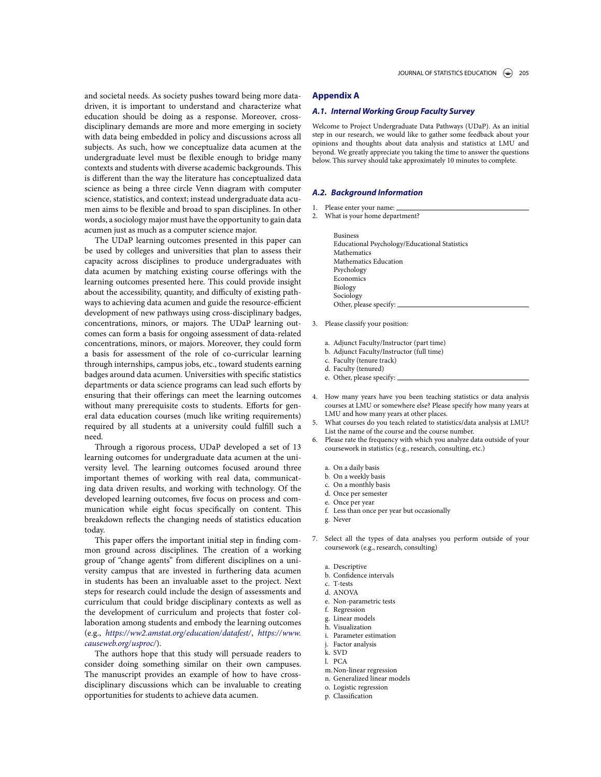and societal needs. As society pushes toward being more datadriven, it is important to understand and characterize what education should be doing as a response. Moreover, crossdisciplinary demands are more and more emerging in society with data being embedded in policy and discussions across all subjects. As such, how we conceptualize data acumen at the undergraduate level must be flexible enough to bridge many contexts and students with diverse academic backgrounds. This is different than the way the literature has conceptualized data science as being a three circle Venn diagram with computer science, statistics, and context; instead undergraduate data acumen aims to be flexible and broad to span disciplines. In other words, a sociology major must have the opportunity to gain data acumen just as much as a computer science major.

The UDaP learning outcomes presented in this paper can be used by colleges and universities that plan to assess their capacity across disciplines to produce undergraduates with data acumen by matching existing course offerings with the learning outcomes presented here. This could provide insight about the accessibility, quantity, and difficulty of existing pathways to achieving data acumen and guide the resource-efficient development of new pathways using cross-disciplinary badges, concentrations, minors, or majors. The UDaP learning outcomes can form a basis for ongoing assessment of data-related concentrations, minors, or majors. Moreover, they could form a basis for assessment of the role of co-curricular learning through internships, campus jobs, etc., toward students earning badges around data acumen. Universities with specific statistics departments or data science programs can lead such efforts by ensuring that their offerings can meet the learning outcomes without many prerequisite costs to students. Efforts for general data education courses (much like writing requirements) required by all students at a university could fulfill such a need.

Through a rigorous process, UDaP developed a set of 13 learning outcomes for undergraduate data acumen at the university level. The learning outcomes focused around three important themes of working with real data, communicating data driven results, and working with technology. Of the developed learning outcomes, five focus on process and communication while eight focus specifically on content. This breakdown reflects the changing needs of statistics education today.

This paper offers the important initial step in finding common ground across disciplines. The creation of a working group of "change agents" from different disciplines on a university campus that are invested in furthering data acumen in students has been an invaluable asset to the project. Next steps for research could include the design of assessments and curriculum that could bridge disciplinary contexts as well as the development of curriculum and projects that foster collaboration among students and embody the learning outcomes (e.g., *<https://ww2.amstat.org/education/datafest/>*, *[https://www.](https://www.causeweb.org/usproc/) [causeweb.org/usproc/](https://www.causeweb.org/usproc/)*).

The authors hope that this study will persuade readers to consider doing something similar on their own campuses. The manuscript provides an example of how to have crossdisciplinary discussions which can be invaluable to creating opportunities for students to achieve data acumen.

## **Appendix A**

### *A.1. Internal Working Group Faculty Survey*

Welcome to Project Undergraduate Data Pathways (UDaP). As an initial step in our research, we would like to gather some feedback about your opinions and thoughts about data analysis and statistics at LMU and beyond. We greatly appreciate you taking the time to answer the questions below. This survey should take approximately 10 minutes to complete.

#### *A.2. Background Information*

- 1. Please enter your name:
- 2. What is your home department?

Business Educational Psychology/Educational Statistics Mathematics Mathematics Education Psychology Economics Biology Sociology Other, please specify:

- 3. Please classify your position:
	- a. Adjunct Faculty/Instructor (part time)
	- b. Adjunct Faculty/Instructor (full time)
	- c. Faculty (tenure track)
	- d. Faculty (tenured)
	- e. Other, please specify:
- 4. How many years have you been teaching statistics or data analysis courses at LMU or somewhere else? Please specify how many years at LMU and how many years at other places.
- 5. What courses do you teach related to statistics/data analysis at LMU? List the name of the course and the course number.
- Please rate the frequency with which you analyze data outside of your coursework in statistics (e.g., research, consulting, etc.)
	- a. On a daily basis
	- b. On a weekly basis
	- c. On a monthly basis
	- d. Once per semester
	- e. Once per year
	- f. Less than once per year but occasionally
	- g. Never
- 7. Select all the types of data analyses you perform outside of your coursework (e.g., research, consulting)
	- a. Descriptive
	- b. Confidence intervals
	- c. T-tests
	- d. ANOVA
	- e. Non-parametric tests
	- f. Regression
	- g. Linear models
	- h. Visualization
	- i. Parameter estimation
	- j. Factor analysis
	- k. SVD
	- l. PCA
	- m.Non-linear regression
	- n. Generalized linear models
	- o. Logistic regression
	- p. Classification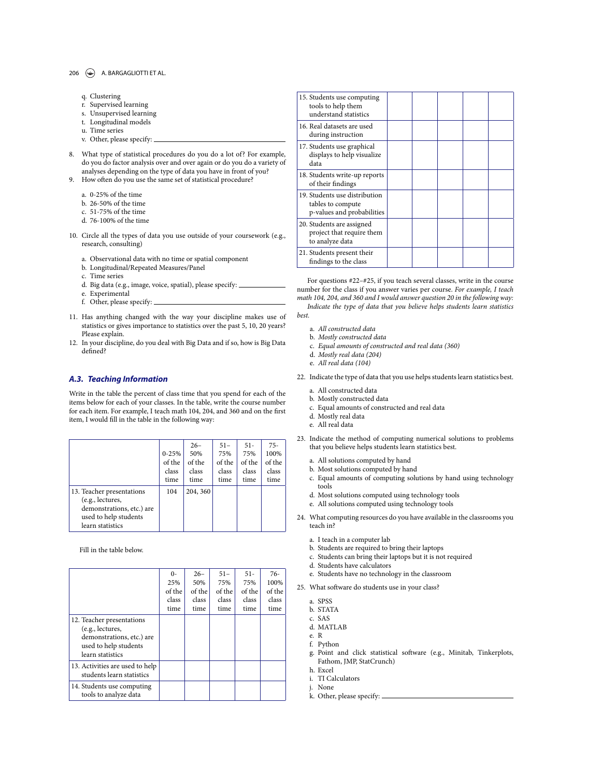#### 206  $\left(\rightarrow\right)$  A. BARGAGLIOTTI ET AL.

| g. Clustering |
|---------------|
|               |

- r. Supervised learning s. Unsupervised learning
- t. Longitudinal models
- u. Time series
- v. Other, please specify:
- 8. What type of statistical procedures do you do a lot of? For example, do you do factor analysis over and over again or do you do a variety of analyses depending on the type of data you have in front of you?
- 9. How often do you use the same set of statistical procedure?
	- a. 0-25% of the time
	- b. 26-50% of the time
	- c. 51-75% of the time
	- d. 76-100% of the time
- 10. Circle all the types of data you use outside of your coursework (e.g., research, consulting)
	- a. Observational data with no time or spatial component
	- b. Longitudinal/Repeated Measures/Panel
	- c. Time series
	- d. Big data (e.g., image, voice, spatial), please specify:
	- e. Experimental
	- f. Other, please specify:

11. Has anything changed with the way your discipline makes use of statistics or gives importance to statistics over the past 5, 10, 20 years? Please explain.

12. In your discipline, do you deal with Big Data and if so, how is Big Data defined?

### *A.3. Teaching Information*

Write in the table the percent of class time that you spend for each of the items below for each of your classes. In the table, write the course number for each item. For example, I teach math 104, 204, and 360 and on the first item, I would fill in the table in the following way:

|                                                                                                                         | $0 - 25%$<br>of the<br>class<br>time | $26-$<br>50%<br>of the<br>class<br>time | $51 -$<br>75%<br>of the<br>class<br>time | $51 -$<br>75%<br>of the<br>class<br>time | $75-$<br>100%<br>of the<br>class<br>time |
|-------------------------------------------------------------------------------------------------------------------------|--------------------------------------|-----------------------------------------|------------------------------------------|------------------------------------------|------------------------------------------|
| 13. Teacher presentations<br>(e.g., lectures,<br>demonstrations, etc.) are<br>used to help students<br>learn statistics | 104                                  | 204, 360                                |                                          |                                          |                                          |

Fill in the table below.

|                                                                                                                         | $0 -$  | $26-$  | $51 -$ | $51 -$ | 76-    |
|-------------------------------------------------------------------------------------------------------------------------|--------|--------|--------|--------|--------|
|                                                                                                                         | 25%    | 50%    | 75%    | 75%    | 100%   |
|                                                                                                                         | of the | of the | of the | of the | of the |
|                                                                                                                         | class  | class  | class  | class  | class  |
|                                                                                                                         | time   | time   | time   | time   | time   |
| 12. Teacher presentations<br>(e.g., lectures,<br>demonstrations, etc.) are<br>used to help students<br>learn statistics |        |        |        |        |        |
| 13. Activities are used to help<br>students learn statistics                                                            |        |        |        |        |        |
| 14. Students use computing<br>tools to analyze data                                                                     |        |        |        |        |        |
|                                                                                                                         |        |        |        |        |        |

| 15. Students use computing<br>tools to help them<br>understand statistics        |  |  |  |
|----------------------------------------------------------------------------------|--|--|--|
| 16. Real datasets are used<br>during instruction                                 |  |  |  |
| 17. Students use graphical<br>displays to help visualize<br>data                 |  |  |  |
| 18. Students write-up reports<br>of their findings                               |  |  |  |
| 19. Students use distribution<br>tables to compute<br>p-values and probabilities |  |  |  |
| 20. Students are assigned<br>project that require them<br>to analyze data        |  |  |  |
| 21. Students present their<br>findings to the class                              |  |  |  |

For questions #22–#25, if you teach several classes, write in the course number for the class if you answer varies per course. *For example, I teach math 104, 204, and 360 and I would answer question 20 in the following way: Indicate the type of data that you believe helps students learn statistics*

- *best.*
	- a. *All constructed data*
	- b. *Mostly constructed data*
	- c. *Equal amounts of constructed and real data (360)*
	- d. *Mostly real data (204)*
	- e. *All real data (104)*
- 22. Indicate the type of data that you use helps students learn statistics best.
	- a. All constructed data
	- b. Mostly constructed data
	- c. Equal amounts of constructed and real data
	- d. Mostly real data
	- e. All real data
- 23. Indicate the method of computing numerical solutions to problems that you believe helps students learn statistics best.
	- a. All solutions computed by hand
	- b. Most solutions computed by hand
	- c. Equal amounts of computing solutions by hand using technology tools
	- d. Most solutions computed using technology tools
	- e. All solutions computed using technology tools
- 24. What computing resources do you have available in the classrooms you teach in?
	- a. I teach in a computer lab
	- b. Students are required to bring their laptops
	- c. Students can bring their laptops but it is not required
	- d. Students have calculators
	- e. Students have no technology in the classroom
- 25. What software do students use in your class?
	- a. SPSS
	- b. STATA
	- c. SAS
	- d. MATLAB
	- e. R
	- f. Python
	- g. Point and click statistical software (e.g., Minitab, Tinkerplots, Fathom, JMP, StatCrunch)
	- h. Excel
	- i. TI Calculators
	- j. None
	- k. Other, please specify: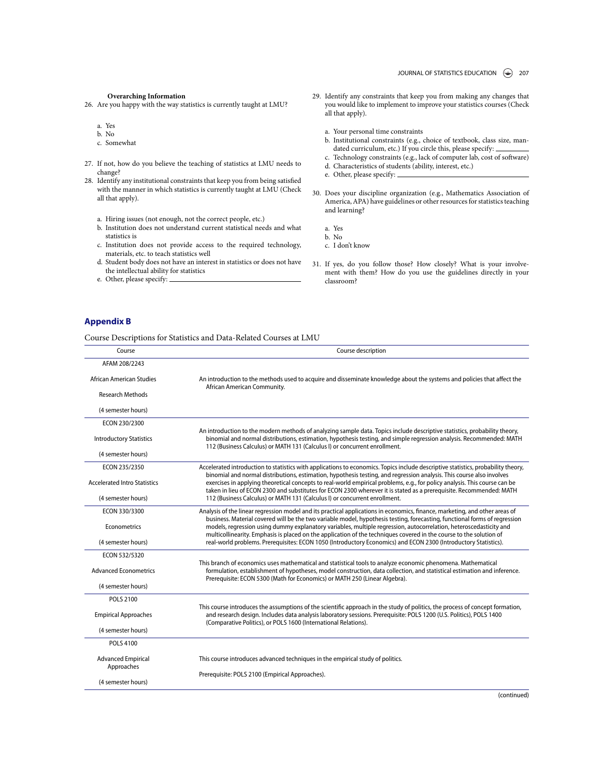#### **Overarching Information**

26. Are you happy with the way statistics is currently taught at LMU?

a. Yes

- b. No
- c. Somewhat
- 27. If not, how do you believe the teaching of statistics at LMU needs to change?
- 28. Identify any institutional constraints that keep you from being satisfied with the manner in which statistics is currently taught at LMU (Check all that apply).
	- a. Hiring issues (not enough, not the correct people, etc.)
	- b. Institution does not understand current statistical needs and what statistics is
	- c. Institution does not provide access to the required technology, materials, etc. to teach statistics well
	- d. Student body does not have an interest in statistics or does not have the intellectual ability for statistics
	- e. Other, please specify:
- 29. Identify any constraints that keep you from making any changes that you would like to implement to improve your statistics courses (Check all that apply).
	- a. Your personal time constraints
	- b. Institutional constraints (e.g., choice of textbook, class size, mandated curriculum, etc.) If you circle this, please specify:
	- c. Technology constraints (e.g., lack of computer lab, cost of software) d. Characteristics of students (ability, interest, etc.)
	- e. Other, please specify:
- 30. Does your discipline organization (e.g., Mathematics Association of America, APA) have guidelines or other resources for statistics teaching and learning?

a. Yes

- b. No
- c. I don't know
- 31. If yes, do you follow those? How closely? What is your involvement with them? How do you use the guidelines directly in your classroom?

### **Appendix B**

Course Descriptions for Statistics and Data-Related Courses at LMU

| Course                                  | Course description                                                                                                                                                                                                                                                                                                                                                         |  |  |  |  |
|-----------------------------------------|----------------------------------------------------------------------------------------------------------------------------------------------------------------------------------------------------------------------------------------------------------------------------------------------------------------------------------------------------------------------------|--|--|--|--|
| AFAM 208/2243                           |                                                                                                                                                                                                                                                                                                                                                                            |  |  |  |  |
| African American Studies                | An introduction to the methods used to acquire and disseminate knowledge about the systems and policies that affect the<br>African American Community.                                                                                                                                                                                                                     |  |  |  |  |
| <b>Research Methods</b>                 |                                                                                                                                                                                                                                                                                                                                                                            |  |  |  |  |
| (4 semester hours)                      |                                                                                                                                                                                                                                                                                                                                                                            |  |  |  |  |
| ECON 230/2300                           |                                                                                                                                                                                                                                                                                                                                                                            |  |  |  |  |
| <b>Introductory Statistics</b>          | An introduction to the modern methods of analyzing sample data. Topics include descriptive statistics, probability theory,<br>binomial and normal distributions, estimation, hypothesis testing, and simple regression analysis. Recommended: MATH<br>112 (Business Calculus) or MATH 131 (Calculus I) or concurrent enrollment.                                           |  |  |  |  |
| (4 semester hours)                      |                                                                                                                                                                                                                                                                                                                                                                            |  |  |  |  |
| ECON 235/2350                           | Accelerated introduction to statistics with applications to economics. Topics include descriptive statistics, probability theory,                                                                                                                                                                                                                                          |  |  |  |  |
| <b>Accelerated Intro Statistics</b>     | binomial and normal distributions, estimation, hypothesis testing, and regression analysis. This course also involves<br>exercises in applying theoretical concepts to real-world empirical problems, e.g., for policy analysis. This course can be<br>taken in lieu of ECON 2300 and substitutes for ECON 2300 wherever it is stated as a prerequisite. Recommended: MATH |  |  |  |  |
| (4 semester hours)                      | 112 (Business Calculus) or MATH 131 (Calculus I) or concurrent enrollment.                                                                                                                                                                                                                                                                                                 |  |  |  |  |
| ECON 330/3300                           | Analysis of the linear regression model and its practical applications in economics, finance, marketing, and other areas of                                                                                                                                                                                                                                                |  |  |  |  |
| Econometrics                            | business. Material covered will be the two variable model, hypothesis testing, forecasting, functional forms of regression<br>models, regression using dummy explanatory variables, multiple regression, autocorrelation, heteroscedasticity and<br>multicollinearity. Emphasis is placed on the application of the techniques covered in the course to the solution of    |  |  |  |  |
| (4 semester hours)                      | real-world problems. Prerequisites: ECON 1050 (Introductory Economics) and ECON 2300 (Introductory Statistics).                                                                                                                                                                                                                                                            |  |  |  |  |
| ECON 532/5320                           |                                                                                                                                                                                                                                                                                                                                                                            |  |  |  |  |
| <b>Advanced Econometrics</b>            | This branch of economics uses mathematical and statistical tools to analyze economic phenomena. Mathematical<br>formulation, establishment of hypotheses, model construction, data collection, and statistical estimation and inference.<br>Prerequisite: ECON 5300 (Math for Economics) or MATH 250 (Linear Algebra).                                                     |  |  |  |  |
| (4 semester hours)                      |                                                                                                                                                                                                                                                                                                                                                                            |  |  |  |  |
| POLS 2100                               |                                                                                                                                                                                                                                                                                                                                                                            |  |  |  |  |
| <b>Empirical Approaches</b>             | This course introduces the assumptions of the scientific approach in the study of politics, the process of concept formation,<br>and research design. Includes data analysis laboratory sessions. Prerequisite: POLS 1200 (U.S. Politics), POLS 1400<br>(Comparative Politics), or POLS 1600 (International Relations).                                                    |  |  |  |  |
| (4 semester hours)                      |                                                                                                                                                                                                                                                                                                                                                                            |  |  |  |  |
| <b>POLS 4100</b>                        |                                                                                                                                                                                                                                                                                                                                                                            |  |  |  |  |
| <b>Advanced Empirical</b><br>Approaches | This course introduces advanced techniques in the empirical study of politics.                                                                                                                                                                                                                                                                                             |  |  |  |  |
| (4 semester hours)                      | Prerequisite: POLS 2100 (Empirical Approaches).                                                                                                                                                                                                                                                                                                                            |  |  |  |  |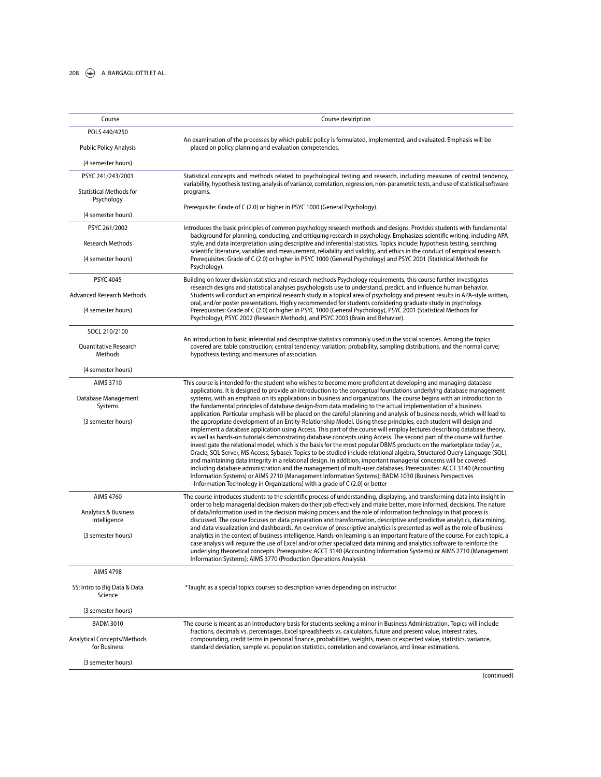### 208  $\leftrightarrow$  A. BARGAGLIOTTI ET AL.

| Course                                       | Course description                                                                                                                                                                                                                                                                                                                                                                                                                                                                                                                                                                                                                                                                                                                                                                                                                                                                                                                                                                                                                                               |  |  |  |  |
|----------------------------------------------|------------------------------------------------------------------------------------------------------------------------------------------------------------------------------------------------------------------------------------------------------------------------------------------------------------------------------------------------------------------------------------------------------------------------------------------------------------------------------------------------------------------------------------------------------------------------------------------------------------------------------------------------------------------------------------------------------------------------------------------------------------------------------------------------------------------------------------------------------------------------------------------------------------------------------------------------------------------------------------------------------------------------------------------------------------------|--|--|--|--|
| POLS 440/4250                                |                                                                                                                                                                                                                                                                                                                                                                                                                                                                                                                                                                                                                                                                                                                                                                                                                                                                                                                                                                                                                                                                  |  |  |  |  |
| <b>Public Policy Analysis</b>                | An examination of the processes by which public policy is formulated, implemented, and evaluated. Emphasis will be<br>placed on policy planning and evaluation competencies.                                                                                                                                                                                                                                                                                                                                                                                                                                                                                                                                                                                                                                                                                                                                                                                                                                                                                     |  |  |  |  |
| (4 semester hours)                           |                                                                                                                                                                                                                                                                                                                                                                                                                                                                                                                                                                                                                                                                                                                                                                                                                                                                                                                                                                                                                                                                  |  |  |  |  |
| PSYC 241/243/2001                            | Statistical concepts and methods related to psychological testing and research, including measures of central tendency,                                                                                                                                                                                                                                                                                                                                                                                                                                                                                                                                                                                                                                                                                                                                                                                                                                                                                                                                          |  |  |  |  |
| <b>Statistical Methods for</b><br>Psychology | variability, hypothesis testing, analysis of variance, correlation, regression, non-parametric tests, and use of statistical software<br>programs.                                                                                                                                                                                                                                                                                                                                                                                                                                                                                                                                                                                                                                                                                                                                                                                                                                                                                                               |  |  |  |  |
| (4 semester hours)                           | Prerequisite: Grade of C (2.0) or higher in PSYC 1000 (General Psychology).                                                                                                                                                                                                                                                                                                                                                                                                                                                                                                                                                                                                                                                                                                                                                                                                                                                                                                                                                                                      |  |  |  |  |
| PSYC 261/2002                                | Introduces the basic principles of common psychology research methods and designs. Provides students with fundamental                                                                                                                                                                                                                                                                                                                                                                                                                                                                                                                                                                                                                                                                                                                                                                                                                                                                                                                                            |  |  |  |  |
| <b>Research Methods</b>                      | background for planning, conducting, and critiquing research in psychology. Emphasizes scientific writing, including APA<br>style, and data interpretation using descriptive and inferential statistics. Topics include: hypothesis testing, searching                                                                                                                                                                                                                                                                                                                                                                                                                                                                                                                                                                                                                                                                                                                                                                                                           |  |  |  |  |
| (4 semester hours)                           | scientific literature, variables and measurement, reliability and validity, and ethics in the conduct of empirical research.<br>Prerequisites: Grade of C (2.0) or higher in PSYC 1000 (General Psychology) and PSYC 2001 (Statistical Methods for<br>Psychology).                                                                                                                                                                                                                                                                                                                                                                                                                                                                                                                                                                                                                                                                                                                                                                                               |  |  |  |  |
| <b>PSYC 4045</b>                             | Building on lower division statistics and research methods Psychology requirements, this course further investigates                                                                                                                                                                                                                                                                                                                                                                                                                                                                                                                                                                                                                                                                                                                                                                                                                                                                                                                                             |  |  |  |  |
| <b>Advanced Research Methods</b>             | research designs and statistical analyses psychologists use to understand, predict, and influence human behavior.<br>Students will conduct an empirical research study in a topical area of psychology and present results in APA-style written,<br>oral, and/or poster presentations. Highly recommended for students considering graduate study in psychology.                                                                                                                                                                                                                                                                                                                                                                                                                                                                                                                                                                                                                                                                                                 |  |  |  |  |
| (4 semester hours)                           | Prerequisites: Grade of C (2.0) or higher in PSYC 1000 (General Psychology), PSYC 2001 (Statistical Methods for<br>Psychology), PSYC 2002 (Research Methods), and PSYC 2003 (Brain and Behavior).                                                                                                                                                                                                                                                                                                                                                                                                                                                                                                                                                                                                                                                                                                                                                                                                                                                                |  |  |  |  |
| SOCL 210/2100                                |                                                                                                                                                                                                                                                                                                                                                                                                                                                                                                                                                                                                                                                                                                                                                                                                                                                                                                                                                                                                                                                                  |  |  |  |  |
| Quantitative Research<br><b>Methods</b>      | An introduction to basic inferential and descriptive statistics commonly used in the social sciences. Among the topics<br>covered are: table construction; central tendency; variation; probability, sampling distributions, and the normal curve;<br>hypothesis testing; and measures of association.                                                                                                                                                                                                                                                                                                                                                                                                                                                                                                                                                                                                                                                                                                                                                           |  |  |  |  |
| (4 semester hours)                           |                                                                                                                                                                                                                                                                                                                                                                                                                                                                                                                                                                                                                                                                                                                                                                                                                                                                                                                                                                                                                                                                  |  |  |  |  |
| <b>AIMS 3710</b>                             | This course is intended for the student who wishes to become more proficient at developing and managing database                                                                                                                                                                                                                                                                                                                                                                                                                                                                                                                                                                                                                                                                                                                                                                                                                                                                                                                                                 |  |  |  |  |
| Database Management<br>Systems               | applications. It is designed to provide an introduction to the conceptual foundations underlying database management<br>systems, with an emphasis on its applications in business and organizations. The course begins with an introduction to<br>the fundamental principles of database design-from data modeling to the actual implementation of a business<br>application. Particular emphasis will be placed on the careful planning and analysis of business needs, which will lead to                                                                                                                                                                                                                                                                                                                                                                                                                                                                                                                                                                      |  |  |  |  |
| (3 semester hours)                           | the appropriate development of an Entity-Relationship Model. Using these principles, each student will design and<br>implement a database application using Access. This part of the course will employ lectures describing database theory,<br>as well as hands-on tutorials demonstrating database concepts using Access. The second part of the course will further<br>investigate the relational model, which is the basis for the most popular DBMS products on the marketplace today (i.e.,<br>Oracle, SQL Server, MS Access, Sybase). Topics to be studied include relational algebra, Structured Query Language (SQL),<br>and maintaining data integrity in a relational design. In addition, important managerial concerns will be covered<br>including database administration and the management of multi-user databases. Prerequisites: ACCT 3140 (Accounting<br>Information Systems) or AIMS 2710 (Management Information Systems); BADM 1030 (Business Perspectives<br>-Information Technology in Organizations) with a grade of C (2.0) or better |  |  |  |  |
| <b>AIMS 4760</b>                             | The course introduces students to the scientific process of understanding, displaying, and transforming data into insight in<br>order to help managerial decision makers do their job effectively and make better, more informed, decisions. The nature                                                                                                                                                                                                                                                                                                                                                                                                                                                                                                                                                                                                                                                                                                                                                                                                          |  |  |  |  |
| Analytics & Business<br>Intelligence         | of data/information used in the decision making process and the role of information technology in that process is<br>discussed. The course focuses on data preparation and transformation, descriptive and predictive analytics, data mining,<br>and data visualization and dashboards. An overview of prescriptive analytics is presented as well as the role of business                                                                                                                                                                                                                                                                                                                                                                                                                                                                                                                                                                                                                                                                                       |  |  |  |  |
| (3 semester hours)                           | analytics in the context of business intelligence. Hands-on learning is an important feature of the course. For each topic, a<br>case analysis will require the use of Excel and/or other specialized data mining and analytics software to reinforce the<br>underlying theoretical concepts. Prerequisites: ACCT 3140 (Accounting Information Systems) or AIMS 2710 (Management<br>Information Systems); AIMS 3770 (Production Operations Analysis).                                                                                                                                                                                                                                                                                                                                                                                                                                                                                                                                                                                                            |  |  |  |  |
| <b>AIMS 4798</b>                             |                                                                                                                                                                                                                                                                                                                                                                                                                                                                                                                                                                                                                                                                                                                                                                                                                                                                                                                                                                                                                                                                  |  |  |  |  |
| SS: Intro to Big Data & Data<br>Science      | *Taught as a special topics courses so description varies depending on instructor                                                                                                                                                                                                                                                                                                                                                                                                                                                                                                                                                                                                                                                                                                                                                                                                                                                                                                                                                                                |  |  |  |  |
| (3 semester hours)                           |                                                                                                                                                                                                                                                                                                                                                                                                                                                                                                                                                                                                                                                                                                                                                                                                                                                                                                                                                                                                                                                                  |  |  |  |  |
| <b>BADM 3010</b>                             | The course is meant as an introductory basis for students seeking a minor in Business Administration. Topics will include<br>fractions, decimals vs. percentages, Excel spreadsheets vs. calculators, future and present value, interest rates,                                                                                                                                                                                                                                                                                                                                                                                                                                                                                                                                                                                                                                                                                                                                                                                                                  |  |  |  |  |
| Analytical Concepts/Methods<br>for Business  | compounding, credit terms in personal finance, probabilities, weights, mean or expected value, statistics, variance,<br>standard deviation, sample vs. population statistics, correlation and covariance, and linear estimations.                                                                                                                                                                                                                                                                                                                                                                                                                                                                                                                                                                                                                                                                                                                                                                                                                                |  |  |  |  |
| (3 semester hours)                           |                                                                                                                                                                                                                                                                                                                                                                                                                                                                                                                                                                                                                                                                                                                                                                                                                                                                                                                                                                                                                                                                  |  |  |  |  |
|                                              |                                                                                                                                                                                                                                                                                                                                                                                                                                                                                                                                                                                                                                                                                                                                                                                                                                                                                                                                                                                                                                                                  |  |  |  |  |

(continued)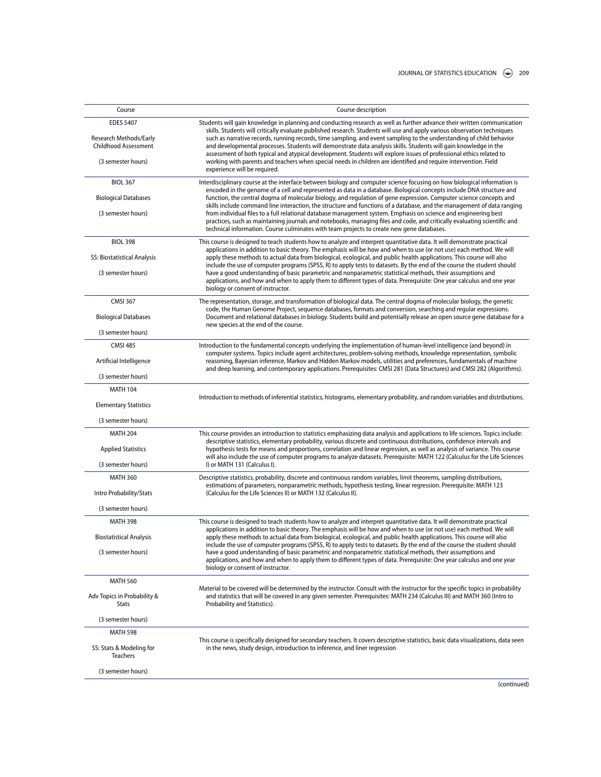| Course                                                                    | Course description<br>Students will gain knowledge in planning and conducting research as well as further advance their written communication<br>skills. Students will critically evaluate published research. Students will use and apply various observation techniques<br>such as narrative records, running records, time sampling, and event sampling to the understanding of child behavior<br>and developmental processes. Students will demonstrate data analysis skills. Students will gain knowledge in the                                                                                                                                                                                            |  |  |  |  |
|---------------------------------------------------------------------------|------------------------------------------------------------------------------------------------------------------------------------------------------------------------------------------------------------------------------------------------------------------------------------------------------------------------------------------------------------------------------------------------------------------------------------------------------------------------------------------------------------------------------------------------------------------------------------------------------------------------------------------------------------------------------------------------------------------|--|--|--|--|
| <b>EDES 5407</b><br>Research Methods/Early<br><b>Childhood Assessment</b> |                                                                                                                                                                                                                                                                                                                                                                                                                                                                                                                                                                                                                                                                                                                  |  |  |  |  |
| (3 semester hours)                                                        | assessment of both typical and atypical development. Students will explore issues of professional ethics related to<br>working with parents and teachers when special needs in children are identified and require intervention. Field<br>experience will be required.                                                                                                                                                                                                                                                                                                                                                                                                                                           |  |  |  |  |
| <b>BIOL 367</b>                                                           | Interdisciplinary course at the interface between biology and computer science focusing on how biological information is                                                                                                                                                                                                                                                                                                                                                                                                                                                                                                                                                                                         |  |  |  |  |
| <b>Biological Databases</b>                                               | encoded in the genome of a cell and represented as data in a database. Biological concepts include DNA structure and<br>function, the central dogma of molecular biology, and regulation of gene expression. Computer science concepts and<br>skills include command line interaction, the structure and functions of a database, and the management of data ranging<br>from individual files to a full relational database management system. Emphasis on science and engineering best<br>practices, such as maintaining journals and notebooks, managing files and code, and critically evaluating scientific and<br>technical information. Course culminates with team projects to create new gene databases. |  |  |  |  |
| (3 semester hours)                                                        |                                                                                                                                                                                                                                                                                                                                                                                                                                                                                                                                                                                                                                                                                                                  |  |  |  |  |
| <b>BIOL 398</b>                                                           | This course is designed to teach students how to analyze and interpret quantitative data. It will demonstrate practical                                                                                                                                                                                                                                                                                                                                                                                                                                                                                                                                                                                          |  |  |  |  |
| SS: Biostatistical Analysis                                               | applications in addition to basic theory. The emphasis will be how and when to use (or not use) each method. We will<br>apply these methods to actual data from biological, ecological, and public health applications. This course will also<br>include the use of computer programs (SPSS, R) to apply tests to datasets. By the end of the course the student should                                                                                                                                                                                                                                                                                                                                          |  |  |  |  |
| (3 semester hours)                                                        | have a good understanding of basic parametric and nonparametric statistical methods, their assumptions and<br>applications, and how and when to apply them to different types of data. Prerequisite: One year calculus and one year<br>biology or consent of instructor.                                                                                                                                                                                                                                                                                                                                                                                                                                         |  |  |  |  |
| <b>CMSI 367</b>                                                           | The representation, storage, and transformation of biological data. The central dogma of molecular biology, the genetic                                                                                                                                                                                                                                                                                                                                                                                                                                                                                                                                                                                          |  |  |  |  |
| <b>Biological Databases</b>                                               | code, the Human Genome Project, sequence databases, formats and conversion, searching and regular expressions.<br>Document and relational databases in biology. Students build and potentially release an open source gene database for a<br>new species at the end of the course.                                                                                                                                                                                                                                                                                                                                                                                                                               |  |  |  |  |
| (3 semester hours)                                                        |                                                                                                                                                                                                                                                                                                                                                                                                                                                                                                                                                                                                                                                                                                                  |  |  |  |  |
| <b>CMSI 485</b>                                                           | Introduction to the fundamental concepts underlying the implementation of human-level intelligence (and beyond) in<br>computer systems. Topics include agent architectures, problem-solving methods, knowledge representation, symbolic                                                                                                                                                                                                                                                                                                                                                                                                                                                                          |  |  |  |  |
| Artificial Intelligence                                                   | reasoning, Bayesian inference, Markov and Hidden Markov models, utilities and preferences, fundamentals of machine<br>and deep learning, and contemporary applications. Prerequisites: CMSI 281 (Data Structures) and CMSI 282 (Algorithms).                                                                                                                                                                                                                                                                                                                                                                                                                                                                     |  |  |  |  |
| (3 semester hours)                                                        |                                                                                                                                                                                                                                                                                                                                                                                                                                                                                                                                                                                                                                                                                                                  |  |  |  |  |
| <b>MATH 104</b>                                                           |                                                                                                                                                                                                                                                                                                                                                                                                                                                                                                                                                                                                                                                                                                                  |  |  |  |  |
| <b>Elementary Statistics</b>                                              | Introduction to methods of inferential statistics, histograms, elementary probability, and random variables and distributions.                                                                                                                                                                                                                                                                                                                                                                                                                                                                                                                                                                                   |  |  |  |  |
| (3 semester hours)                                                        |                                                                                                                                                                                                                                                                                                                                                                                                                                                                                                                                                                                                                                                                                                                  |  |  |  |  |
| <b>MATH 204</b>                                                           | This course provides an introduction to statistics emphasizing data analysis and applications to life sciences. Topics include:                                                                                                                                                                                                                                                                                                                                                                                                                                                                                                                                                                                  |  |  |  |  |
| <b>Applied Statistics</b>                                                 | descriptive statistics, elementary probability, various discrete and continuous distributions, confidence intervals and<br>hypothesis tests for means and proportions, correlation and linear regression, as well as analysis of variance. This course<br>will also include the use of computer programs to analyze datasets. Prerequisite: MATH 122 (Calculus for the Life Sciences                                                                                                                                                                                                                                                                                                                             |  |  |  |  |
| (3 semester hours)                                                        | I) or MATH 131 (Calculus I).                                                                                                                                                                                                                                                                                                                                                                                                                                                                                                                                                                                                                                                                                     |  |  |  |  |
| <b>MATH 360</b>                                                           | Descriptive statistics, probability, discrete and continuous random variables, limit theorems, sampling distributions,<br>estimations of parameters, nonparametric methods, hypothesis testing, linear regression. Prerequisite: MATH 123                                                                                                                                                                                                                                                                                                                                                                                                                                                                        |  |  |  |  |
| Intro Probability/Stats                                                   | (Calculus for the Life Sciences II) or MATH 132 (Calculus II).                                                                                                                                                                                                                                                                                                                                                                                                                                                                                                                                                                                                                                                   |  |  |  |  |
| (3 semester hours)                                                        |                                                                                                                                                                                                                                                                                                                                                                                                                                                                                                                                                                                                                                                                                                                  |  |  |  |  |
| <b>MATH 398</b>                                                           | This course is designed to teach students how to analyze and interpret quantitative data. It will demonstrate practical<br>applications in addition to basic theory. The emphasis will be how and when to use (or not use) each method. We will                                                                                                                                                                                                                                                                                                                                                                                                                                                                  |  |  |  |  |
| <b>Biostatistical Analysis</b>                                            | apply these methods to actual data from biological, ecological, and public health applications. This course will also<br>include the use of computer programs (SPSS, R) to apply tests to datasets. By the end of the course the student should                                                                                                                                                                                                                                                                                                                                                                                                                                                                  |  |  |  |  |
| (3 semester hours)                                                        | have a good understanding of basic parametric and nonparametric statistical methods, their assumptions and<br>applications, and how and when to apply them to different types of data. Prerequisite: One year calculus and one year<br>biology or consent of instructor.                                                                                                                                                                                                                                                                                                                                                                                                                                         |  |  |  |  |
| <b>MATH 560</b>                                                           |                                                                                                                                                                                                                                                                                                                                                                                                                                                                                                                                                                                                                                                                                                                  |  |  |  |  |
| Adv Topics in Probability &<br>Stats                                      | Material to be covered will be determined by the instructor. Consult with the instructor for the specific topics in probability<br>and statistics that will be covered in any given semester. Prerequisites: MATH 234 (Calculus III) and MATH 360 (Intro to<br>Probability and Statistics).                                                                                                                                                                                                                                                                                                                                                                                                                      |  |  |  |  |
| (3 semester hours)                                                        |                                                                                                                                                                                                                                                                                                                                                                                                                                                                                                                                                                                                                                                                                                                  |  |  |  |  |
| <b>MATH 598</b>                                                           |                                                                                                                                                                                                                                                                                                                                                                                                                                                                                                                                                                                                                                                                                                                  |  |  |  |  |
| SS: Stats & Modeling for<br>Teachers                                      | This course is specifically designed for secondary teachers. It covers descriptive statistics, basic data visualizations, data seen<br>in the news, study design, introduction to inference, and liner regression                                                                                                                                                                                                                                                                                                                                                                                                                                                                                                |  |  |  |  |
| (3 semester hours)                                                        |                                                                                                                                                                                                                                                                                                                                                                                                                                                                                                                                                                                                                                                                                                                  |  |  |  |  |
|                                                                           |                                                                                                                                                                                                                                                                                                                                                                                                                                                                                                                                                                                                                                                                                                                  |  |  |  |  |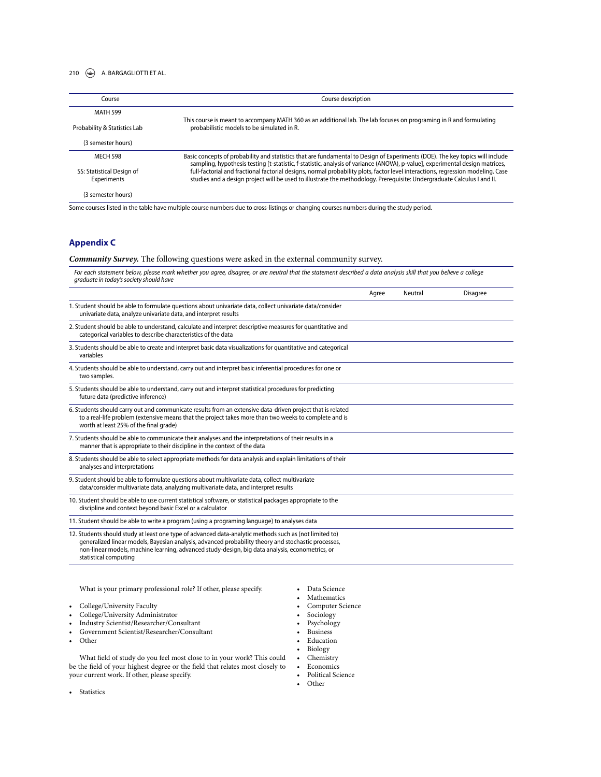### 210  $\left(\rightarrow\right)$  A. BARGAGLIOTTI ET AL.

| Course                                   | Course description                                                                                                                                                                                                                                             |  |  |
|------------------------------------------|----------------------------------------------------------------------------------------------------------------------------------------------------------------------------------------------------------------------------------------------------------------|--|--|
| <b>MATH 599</b>                          |                                                                                                                                                                                                                                                                |  |  |
| Probability & Statistics Lab             | This course is meant to accompany MATH 360 as an additional lab. The lab focuses on programing in R and formulating<br>probabilistic models to be simulated in R.                                                                                              |  |  |
| (3 semester hours)                       |                                                                                                                                                                                                                                                                |  |  |
| <b>MECH 598</b>                          | Basic concepts of probability and statistics that are fundamental to Design of Experiments (DOE). The key topics will include<br>sampling, hypothesis testing [t-statistic, f-statistic, analysis of variance (ANOVA), p-value], experimental design matrices, |  |  |
| SS: Statistical Design of<br>Experiments | full-factorial and fractional factorial designs, normal probability plots, factor level interactions, regression modeling. Case<br>studies and a design project will be used to illustrate the methodology. Prerequisite: Undergraduate Calculus I and II.     |  |  |
| (3 semester hours)                       |                                                                                                                                                                                                                                                                |  |  |
|                                          | Some courses listed in the table have multiple course numbers due to cross-listings or changing courses numbers during the study period.                                                                                                                       |  |  |

# **Appendix C**

### *Community Survey.* The following questions were asked in the external community survey.

*For each statement below, please mark whether you agree, disagree, or are neutral that the statement described a data analysis skill that you believe a college graduate in today's society should have*

|                                                                                                                                                                                                                                                                                                                                           | Agree | Neutral | <b>Disagree</b> |
|-------------------------------------------------------------------------------------------------------------------------------------------------------------------------------------------------------------------------------------------------------------------------------------------------------------------------------------------|-------|---------|-----------------|
| 1. Student should be able to formulate questions about univariate data, collect univariate data/consider<br>univariate data, analyze univariate data, and interpret results                                                                                                                                                               |       |         |                 |
| 2. Student should be able to understand, calculate and interpret descriptive measures for quantitative and<br>categorical variables to describe characteristics of the data                                                                                                                                                               |       |         |                 |
| 3. Students should be able to create and interpret basic data visualizations for quantitative and categorical<br>variables                                                                                                                                                                                                                |       |         |                 |
| 4. Students should be able to understand, carry out and interpret basic inferential procedures for one or<br>two samples.                                                                                                                                                                                                                 |       |         |                 |
| 5. Students should be able to understand, carry out and interpret statistical procedures for predicting<br>future data (predictive inference)                                                                                                                                                                                             |       |         |                 |
| 6. Students should carry out and communicate results from an extensive data-driven project that is related<br>to a real-life problem (extensive means that the project takes more than two weeks to complete and is<br>worth at least 25% of the final grade)                                                                             |       |         |                 |
| 7. Students should be able to communicate their analyses and the interpretations of their results in a<br>manner that is appropriate to their discipline in the context of the data                                                                                                                                                       |       |         |                 |
| 8. Students should be able to select appropriate methods for data analysis and explain limitations of their<br>analyses and interpretations                                                                                                                                                                                               |       |         |                 |
| 9. Student should be able to formulate questions about multivariate data, collect multivariate<br>data/consider multivariate data, analyzing multivariate data, and interpret results                                                                                                                                                     |       |         |                 |
| 10. Student should be able to use current statistical software, or statistical packages appropriate to the<br>discipline and context beyond basic Excel or a calculator                                                                                                                                                                   |       |         |                 |
| 11. Student should be able to write a program (using a programing language) to analyses data                                                                                                                                                                                                                                              |       |         |                 |
| 12. Students should study at least one type of advanced data-analytic methods such as (not limited to)<br>generalized linear models, Bayesian analysis, advanced probability theory and stochastic processes,<br>non-linear models, machine learning, advanced study-design, big data analysis, econometrics, or<br>statistical computing |       |         |                 |

What is your primary professional role? If other, please specify.

• College/University Faculty

- College/University Administrator
- 
- Industry Scientist/Researcher/Consultant<br>• Government Scientist/Researcher/Consult • Government Scientist/Researcher/Consultant

• Other

What field of study do you feel most close to in your work? This could be the field of your highest degree or the field that relates most closely to your current work. If other, please specify.

- Data Science • Mathematics
- Computer Science
- Sociology
- Psychology
- Business
- Education
- Biology
- Chemistry
- Economics
- Political Science
- Other

• Statistics